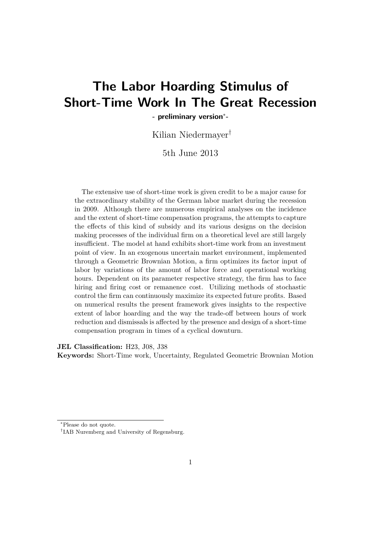# **The Labor Hoarding Stimulus of Short-Time Work In The Great Recession**

**- preliminary version**<sup>∗</sup> **-**

Kilian Niedermayer†

5th June 2013

The extensive use of short-time work is given credit to be a major cause for the extraordinary stability of the German labor market during the recession in 2009. Although there are numerous empirical analyses on the incidence and the extent of short-time compensation programs, the attempts to capture the effects of this kind of subsidy and its various designs on the decision making processes of the individual firm on a theoretical level are still largely insufficient. The model at hand exhibits short-time work from an investment point of view. In an exogenous uncertain market environment, implemented through a Geometric Brownian Motion, a firm optimizes its factor input of labor by variations of the amount of labor force and operational working hours. Dependent on its parameter respective strategy, the firm has to face hiring and firing cost or remanence cost. Utilizing methods of stochastic control the firm can continuously maximize its expected future profits. Based on numerical results the present framework gives insights to the respective extent of labor hoarding and the way the trade-off between hours of work reduction and dismissals is affected by the presence and design of a short-time compensation program in times of a cyclical downturn.

**JEL Classification:** H23, J08, J38

**Keywords:** Short-Time work, Uncertainty, Regulated Geometric Brownian Motion

<sup>∗</sup>Please do not quote.

<sup>†</sup> IAB Nuremberg and University of Regensburg.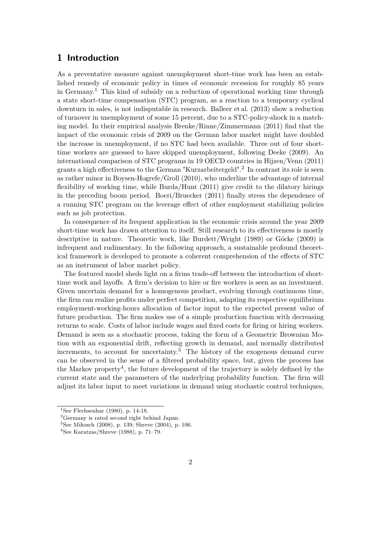# **1 Introduction**

As a preventative measure against unemployment short-time work has been an established remedy of economic policy in times of economic recession for roughly 85 years in Germany.<sup>1</sup> This kind of subsidy on a reduction of operational working time through a state short-time compensation (STC) program, as a reaction to a temporary cyclical downturn in sales, is not indisputable in research. Balleer et al. (2013) show a reduction of turnover in unemployment of some 15 percent, due to a STC-policy-shock in a matching model. In their empirical analysis Brenke/Rinne/Zimmermann (2011) find that the impact of the economic crisis of 2009 on the German labor market might have doubled the increase in unemployment, if no STC had been available. Three out of four shorttime workers are guessed to have skipped unemployment, following Deeke (2009). An international comparison of STC programs in 19 OECD countries in Hijzen/Venn (2011) grants a high effectiveness to the German "Kurzarbeitergeld".<sup>2</sup> In contrast its role is seen as rather minor in Boysen-Hogrefe/Groll (2010), who underline the advantage of internal flexibility of working time, while Burda/Hunt (2011) give credit to the dilatory hirings in the preceding boom period. Boeri/Bruecker (2011) finally stress the dependence of a running STC program on the leverage effect of other employment stabilizing policies such as job protection.

In consequence of its frequent application in the economic crisis around the year 2009 short-time work has drawn attention to itself. Still research to its effectiveness is mostly descriptive in nature. Theoretic work, like Burdett/Wright (1989) or Göcke (2009) is infrequent and rudimentary. In the following approach, a sustainable profound theoretical framework is developed to promote a coherent comprehension of the effects of STC as an instrument of labor market policy.

The featured model sheds light on a firms trade-off between the introduction of shorttime work and layoffs. A firm's decision to hire or fire workers is seen as an investment. Given uncertain demand for a homogenous product, evolving through continuous time, the firm can realize profits under perfect competition, adapting its respective equilibrium employment-working-hours allocation of factor input to the expected present value of future production. The firm makes use of a simple production function with decreasing returns to scale. Costs of labor include wages and fixed costs for firing or hiring workers. Demand is seen as a stochastic process, taking the form of a Geometric Brownian Motion with an exponential drift, reflecting growth in demand, and normally distributed increments, to account for uncertainty.<sup>3</sup> The history of the exogenous demand curve can be observed in the sense of a filtered probability space, but, given the process has the Markov property<sup>4</sup>, the future development of the trajectory is solely defined by the current state and the parameters of the underlying probability function. The firm will adjust its labor input to meet variations in demand using stochastic control techniques,

<sup>&</sup>lt;sup>1</sup>See Flechsenhar (1980), p. 14-18.

<sup>2</sup>Germany is rated second right behind Japan.

<sup>&</sup>lt;sup>3</sup>See Mikosch (2008), p. 139; Shreve (2004), p. 106.

 $4$ See Karatzas/Shreve (1988), p. 71–79.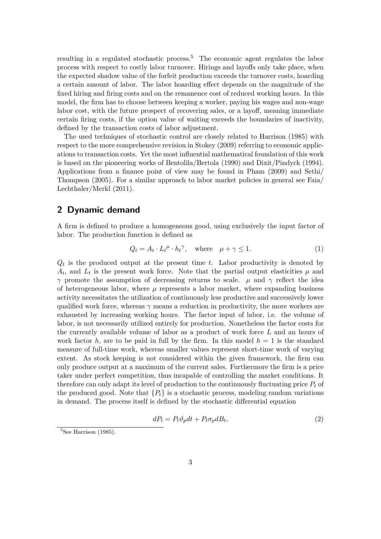resulting in a regulated stochastic process.<sup>5</sup> The economic agent regulates the labor process with respect to costly labor turnover. Hirings and layoffs only take place, when the expected shadow value of the forfeit production exceeds the turnover costs, hoarding a certain amount of labor. The labor hoarding effect depends on the magnitude of the fixed hiring and firing costs and on the remanence cost of reduced working hours. In this model, the firm has to choose between keeping a worker, paying his wages and non-wage labor cost, with the future prospect of recovering sales, or a layoff, meaning immediate certain firing costs, if the option value of waiting exceeds the boundaries of inactivity, defined by the transaction costs of labor adjustment.

The used techniques of stochastic control are closely related to Harrison (1985) with respect to the more comprehensive revision in Stokey (2009) referring to economic applications to transaction costs. Yet the most influential mathematical foundation of this work is based on the pioneering works of Bentolila/Bertola (1990) and Dixit/Pindyck (1994). Applications from a finance point of view may be found in Pham (2009) and Sethi/ Thompson (2005). For a similar approach to labor market policies in general see Faia/ Lechthaler/Merkl (2011).

# **2 Dynamic demand**

A firm is defined to produce a homogeneous good, using exclusively the input factor of labor. The production function is defined as

$$
Q_t = A_t \cdot L_t^{\mu} \cdot h_t^{\gamma}, \quad \text{where} \quad \mu + \gamma \le 1. \tag{1}
$$

*Qt* is the produced output at the present time *t*. Labor productivity is denoted by  $A_t$ , and  $L_t$  is the present work force. Note that the partial output elasticities  $\mu$  and *γ* promote the assumption of decreasing returns to scale. *µ* and *γ* reflect the idea of heterogeneous labor, where  $\mu$  represents a labor market, where expanding business activity necessitates the utilization of continuously less productive and successively lower qualified work force, whereas  $\gamma$  means a reduction in productivity, the more workers are exhausted by increasing working hours. The factor input of labor, i.e. the volume of labor, is not necessarily utilized entirely for production. Nonetheless the factor costs for the currently available volume of labor as a product of work force *L* and an hours of work factor h, are to be paid in full by the firm. In this model  $h = 1$  is the standard measure of full-time work, whereas smaller values represent short-time work of varying extent. As stock keeping is not considered within the given framework, the firm can only produce output at a maximum of the current sales. Furthermore the firm is a price taker under perfect competition, thus incapable of controlling the market conditions. It therefore can only adapt its level of production to the continuously fluctuating price *P<sup>t</sup>* of the produced good. Note that  ${P_t}$  is a stochastic process, modeling random variations in demand. The process itself is defined by the stochastic differential equation

$$
dP_t = P_t \vartheta_p dt + P_t \sigma_p dB_t,\tag{2}
$$

 ${}^{5}$ See Harrison (1985).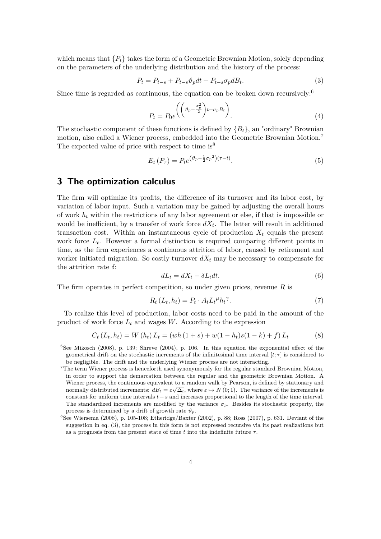which means that  ${P_t}$  takes the form of a Geometric Brownian Motion, solely depending on the parameters of the underlying distribution and the history of the process:

$$
P_t = P_{t-s} + P_{t-s} \vartheta_p dt + P_{t-s} \sigma_p dB_t.
$$
\n
$$
(3)
$$

Since time is regarded as continuous, the equation can be broken down recursively: $6$ 

$$
P_t = P_0 e^{\left(\left(\vartheta_p - \frac{\sigma_p^2}{2}\right)t + \sigma_p B_t\right)}.
$$
\n<sup>(4)</sup>

The stochastic component of these functions is defined by  ${B<sub>t</sub>}$ , an "ordinary" Brownian motion, also called a Wiener process, embedded into the Geometric Brownian Motion.<sup>7</sup> The expected value of price with respect to time is<sup>8</sup>

$$
E_t(P_\tau) = P_t e^{(\vartheta_p - \frac{1}{2}\sigma_p^2)(\tau - t)}.
$$
\n(5)

# **3 The optimization calculus**

The firm will optimize its profits, the difference of its turnover and its labor cost, by variation of labor input. Such a variation may be gained by adjusting the overall hours of work *h<sup>t</sup>* within the restrictions of any labor agreement or else, if that is impossible or would be inefficient, by a transfer of work force  $dX_t$ . The latter will result in additional transaction cost. Within an instantaneous cycle of production  $X_t$  equals the present work force  $L_t$ . However a formal distinction is required comparing different points in time, as the firm experiences a continuous attrition of labor, caused by retirement and worker initiated migration. So costly turnover  $dX_t$  may be necessary to compensate for the attrition rate *δ*:

$$
dL_t = dX_t - \delta L_t dt. \tag{6}
$$

The firm operates in perfect competition, so under given prices, revenue *R* is

$$
R_t(L_t, h_t) = P_t \cdot A_t L_t^{\mu} h_t^{\gamma}.
$$
\n<sup>(7)</sup>

To realize this level of production, labor costs need to be paid in the amount of the product of work force  $L_t$  and wages  $W$ . According to the expression

$$
C_t(L_t, h_t) = W(h_t) L_t = (wh(1+s) + w(1-h_t)s(1-k) + f) L_t
$$
\n(8)

<sup>&</sup>lt;sup>6</sup>See Mikosch (2008), p. 139; Shreve (2004), p. 106. In this equation the exponential effect of the geometrical drift on the stochastic increments of the infinitesimal time interval  $[t; \tau]$  is considered to be negligible. The drift and the underlying Wiener process are not interacting.

<sup>7</sup>The term Wiener process is henceforth used synonymously for the regular standard Brownian Motion, in order to support the demarcation between the regular and the geometric Brownian Motion. A Wiener process, the continuous equivalent to a random walk by Pearson, is defined by stationary and normally distributed increments:  $dB_t = \varepsilon \sqrt{\Delta_t}$ , where  $\varepsilon \mapsto N(0, 1)$ . The variance of the increments is constant for uniform time intervals *t*−*s* and increases proportional to the length of the time interval. The standardized increments are modified by the variance  $\sigma_p$ . Besides its stochastic property, the process is determined by a drift of growth rate  $\vartheta_p$ .

 ${}^{8}$ See Wiersema (2008), p. 105-108; Etheridge/Baxter (2002), p. 88; Ross (2007), p. 631. Deviant of the suggestion in eq. (3), the process in this form is not expressed recursive via its past realizations but as a prognosis from the present state of time  $t$  into the indefinite future  $\tau$ .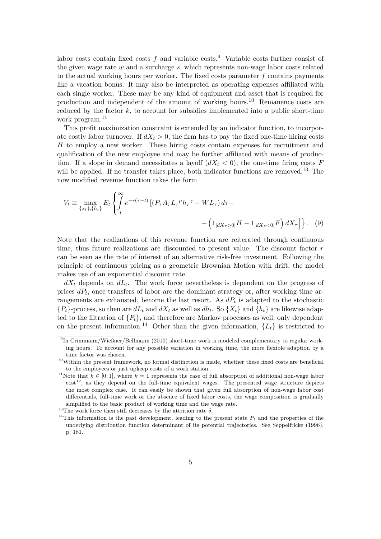labor costs contain fixed costs  $f$  and variable costs.<sup>9</sup> Variable costs further consist of the given wage rate *w* and a surcharge *s*, which represents non-wage labor costs related to the actual working hours per worker. The fixed costs parameter *f* contains payments like a vacation bonus. It may also be interpreted as operating expenses affiliated with each single worker. These may be any kind of equipment and asset that is required for production and independent of the amount of working hours.<sup>10</sup> Remanence costs are reduced by the factor  $k$ , to account for subsidies implemented into a public short-time work program.<sup>11</sup>

This profit maximization constraint is extended by an indicator function, to incorporate costly labor turnover. If  $dX_t > 0$ , the firm has to pay the fixed one-time hiring costs *H* to employ a new worker. These hiring costs contain expenses for recruitment and qualification of the new employee and may be further affiliated with means of production. If a slope in demand necessitates a layoff  $(dX_t < 0)$ , the one-time firing costs *F* will be applied. If no transfer takes place, both indicator functions are removed.<sup>13</sup> The now modified revenue function takes the form

$$
V_t \equiv \max_{\{x_t\}, \{h_t\}} E_t \left\{ \int_t^{\infty} e^{-r(\tau - t)} \left[ (P_\tau A_\tau L_\tau^\mu h_\tau^\gamma - WL_\tau \right) d\tau - \right. \\ \left. - \left( 1_{[dX_\tau > 0]} H - 1_{[dX_\tau < 0]} F \right) dX_\tau \right] \right\}.
$$
 (9)

Note that the realizations of this revenue function are reiterated through continuous time, thus future realizations are discounted to present value. The discount factor *r* can be seen as the rate of interest of an alternative risk-free investment. Following the principle of continuous pricing as a geometric Brownian Motion with drift, the model makes use of an exponential discount rate.

 $dX_t$  depends on  $dL_t$ . The work force nevertheless is dependent on the progress of prices  $dP_t$ , once transfers of labor are the dominant strategy or, after working time arrangements are exhausted, become the last resort. As *dP<sup>t</sup>* is adapted to the stochastic  ${P_t}$ -process, so then are  $dL_t$  and  $dX_t$  as well as  $dh_t$ . So  ${X_t}$  and  ${h_t}$  are likewise adapted to the filtration of  $\{P_t\}$ , and therefore are Markov processes as well, only dependent on the present information.<sup>14</sup> Other than the given information,  ${L_t}$  is restricted to

 $^{13}\mathrm{The}$  work force then still decreases by the attrition rate  $\delta.$ 

<sup>&</sup>lt;sup>9</sup>In Crimmann/Wießner/Bellmann (2010) short-time work is modeled complementary to regular working hours. To account for any possible variation in working time, the more flexible adaption by a time factor was chosen.

 $10$ Within the present framework, no formal distinction is made, whether these fixed costs are beneficial to the employees or just upkeep costs of a work station.

<sup>&</sup>lt;sup>11</sup>Note that  $k \in [0,1]$ , where  $k = 1$  represents the case of full absorption of additional non-wage labor  $\text{cost}^{12}$ , as they depend on the full-time equivalent wages. The presented wage structure depicts the most complex case. It can easily be shown that given full absorption of non-wage labor cost differentials, full-time work or the absence of fixed labor costs, the wage composition is gradually simplified to the basic product of working time and the wage rate.

<sup>&</sup>lt;sup>14</sup>This information is the past development, leading to the present state  $P_t$  and the properties of the underlying distribution function determinant of its potential trajectories. See Seppelfricke (1996), p. 181.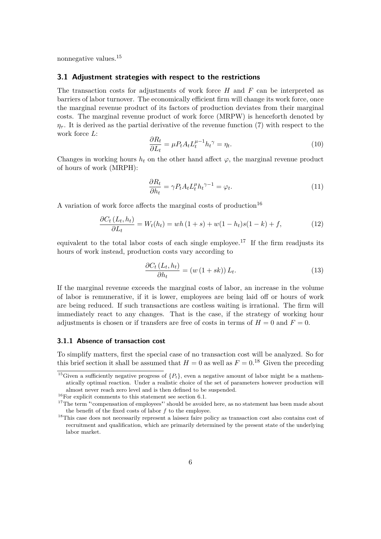nonnegative values.<sup>15</sup>

#### **3.1 Adjustment strategies with respect to the restrictions**

The transaction costs for adjustments of work force *H* and *F* can be interpreted as barriers of labor turnover. The economically efficient firm will change its work force, once the marginal revenue product of its factors of production deviates from their marginal costs. The marginal revenue product of work force (MRPW) is henceforth denoted by  $\eta_{\tau}$ . It is derived as the partial derivative of the revenue function (7) with respect to the work force *L*:

$$
\frac{\partial R_t}{\partial L_t} = \mu P_t A_t L_t^{\mu - 1} h_t^{\gamma} = \eta_t.
$$
\n(10)

Changes in working hours  $h_t$  on the other hand affect  $\varphi$ , the marginal revenue product of hours of work (MRPH):

$$
\frac{\partial R_t}{\partial h_t} = \gamma P_t A_t L_t^{\mu} h_t^{\gamma - 1} = \varphi_t.
$$
\n(11)

A variation of work force affects the marginal costs of production<sup>16</sup>

$$
\frac{\partial C_t (L_t, h_t)}{\partial L_t} = W_t(h_t) = wh (1 + s) + w(1 - h_t)s(1 - k) + f,
$$
\n(12)

equivalent to the total labor costs of each single employee.<sup>17</sup> If the firm readjusts its hours of work instead, production costs vary according to

$$
\frac{\partial C_t (L_t, h_t)}{\partial h_t} = (w (1 + sk)) L_t.
$$
\n(13)

If the marginal revenue exceeds the marginal costs of labor, an increase in the volume of labor is remunerative, if it is lower, employees are being laid off or hours of work are being reduced. If such transactions are costless waiting is irrational. The firm will immediately react to any changes. That is the case, if the strategy of working hour adjustments is chosen or if transfers are free of costs in terms of  $H = 0$  and  $F = 0$ .

### **3.1.1 Absence of transaction cost**

To simplify matters, first the special case of no transaction cost will be analyzed. So for this brief section it shall be assumed that  $H = 0$  as well as  $F = 0.18$  Given the preceding

<sup>&</sup>lt;sup>15</sup>Given a sufficiently negative progress of  ${P_t}$ , even a negative amount of labor might be a mathematically optimal reaction. Under a realistic choice of the set of parameters however production will almost never reach zero level and is then defined to be suspended.

 $^{16}\rm{For}$  explicit comments to this statement see section 6.1.

<sup>&</sup>lt;sup>17</sup>The term "'compensation of employees"' should be avoided here, as no statement has been made about the benefit of the fixed costs of labor *f* to the employee.

<sup>18</sup>This case does not necessarily represent a laissez faire policy as transaction cost also contains cost of recruitment and qualification, which are primarily determined by the present state of the underlying labor market.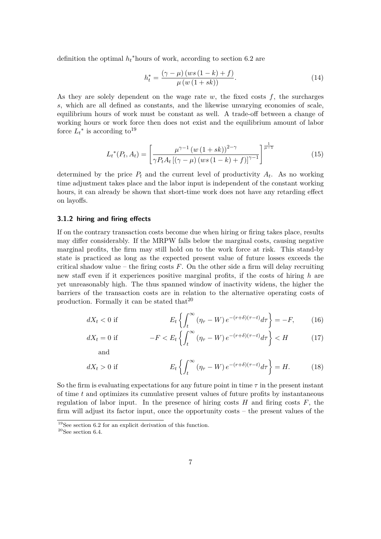definition the optimal  $h_t^*$  hours of work, according to section 6.2 are

$$
h_t^* = \frac{(\gamma - \mu) (ws (1 - k) + f)}{\mu (w (1 + sk))}.
$$
 (14)

As they are solely dependent on the wage rate *w*, the fixed costs *f*, the surcharges *s*, which are all defined as constants, and the likewise unvarying economies of scale, equilibrium hours of work must be constant as well. A trade-off between a change of working hours or work force then does not exist and the equilibrium amount of labor force  $L_t^*$  is according to<sup>19</sup>

$$
L_t^*(P_t, A_t) = \left[\frac{\mu^{\gamma - 1} (w (1 + sk))^{2 - \gamma}}{\gamma P_t A_t \left[ (\gamma - \mu) (ws (1 - k) + f) \right]^{\gamma - 1}} \right]^{\frac{1}{\mu - 1}}
$$
(15)

determined by the price  $P_t$  and the current level of productivity  $A_t$ . As no working time adjustment takes place and the labor input is independent of the constant working hours, it can already be shown that short-time work does not have any retarding effect on layoffs.

#### **3.1.2 hiring and firing effects**

If on the contrary transaction costs become due when hiring or firing takes place, results may differ considerably. If the MRPW falls below the marginal costs, causing negative marginal profits, the firm may still hold on to the work force at risk. This stand-by state is practiced as long as the expected present value of future losses exceeds the critical shadow value – the firing costs  $F$ . On the other side a firm will delay recruiting new staff even if it experiences positive marginal profits, if the costs of hiring *h* are yet unreasonably high. The thus spanned window of inactivity widens, the higher the barriers of the transaction costs are in relation to the alternative operating costs of production. Formally it can be stated that  $2^0$ 

$$
dX_t < 0 \text{ if} \qquad E_t \left\{ \int_t^\infty \left( \eta_\tau - W \right) e^{-(r+\delta)(\tau-t)} d\tau \right\} = -F,\qquad(16)
$$

$$
dX_t = 0 \text{ if } -F < E_t \left\{ \int_t^\infty (\eta_\tau - W) \, e^{-(r+\delta)(\tau-t)} d\tau \right\} < H \tag{17}
$$

$$
dX_t > 0 \text{ if } E_t \left\{ \int_t^\infty (\eta_\tau - W) e^{-(r+\delta)(\tau - t)} d\tau \right\} = H. \tag{18}
$$

So the firm is evaluating expectations for any future point in time  $\tau$  in the present instant of time *t* and optimizes its cumulative present values of future profits by instantaneous regulation of labor input. In the presence of hiring costs  $H$  and firing costs  $F$ , the firm will adjust its factor input, once the opportunity costs – the present values of the

<sup>19</sup>See section 6.2 for an explicit derivation of this function.

 $20$ See section 6.4.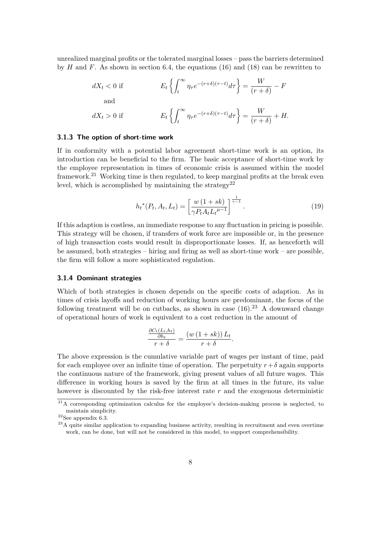unrealized marginal profits or the tolerated marginal losses – pass the barriers determined by  $H$  and  $F$ . As shown in section 6.4, the equations (16) and (18) can be rewritten to

$$
dX_t < 0 \text{ if } \t E_t \left\{ \int_t^{\infty} \eta_\tau e^{-(r+\delta)(\tau-t)} d\tau \right\} = \frac{W}{(r+\delta)} - F
$$
  
and  

$$
dX_t > 0 \text{ if } \t E_t \left\{ \int_t^{\infty} \eta_\tau e^{-(r+\delta)(\tau-t)} d\tau \right\} = \frac{W}{(r+\delta)} + H.
$$

### **3.1.3 The option of short-time work**

If in conformity with a potential labor agreement short-time work is an option, its introduction can be beneficial to the firm. The basic acceptance of short-time work by the employee representation in times of economic crisis is assumed within the model framework.<sup>21</sup> Working time is then regulated, to keep marginal profits at the break even level, which is accomplished by maintaining the strategy<sup>22</sup>

$$
h_t^*(P_t, A_t, L_t) = \left[\frac{w(1+sk)}{\gamma P_t A_t L_t^{\mu-1}}\right]^{\frac{1}{\gamma-1}}.\tag{19}
$$

*.*

If this adaption is costless, an immediate response to any fluctuation in pricing is possible. This strategy will be chosen, if transfers of work force are impossible or, in the presence of high transaction costs would result in disproportionate losses. If, as henceforth will be assumed, both strategies – hiring and firing as well as short-time work – are possible, the firm will follow a more sophisticated regulation.

#### **3.1.4 Dominant strategies**

Which of both strategies is chosen depends on the specific costs of adaption. As in times of crisis layoffs and reduction of working hours are predominant, the focus of the following treatment will be on cutbacks, as shown in case  $(16).^{23}$  A downward change of operational hours of work is equivalent to a cost reduction in the amount of

$$
\frac{\frac{\partial C_t(L_t,h_t)}{\partial h_t}}{r+\delta} = \frac{(w(1+sk)) L_t}{r+\delta}
$$

The above expression is the cumulative variable part of wages per instant of time, paid for each employee over an infinite time of operation. The perpetuity  $r+\delta$  again supports the continuous nature of the framework, giving present values of all future wages. This difference in working hours is saved by the firm at all times in the future, its value however is discounted by the risk-free interest rate *r* and the exogenous deterministic

 $21A$  corresponding optimization calculus for the employee's decision-making process is neglected, to maintain simplicity.

 $^{22}\mathrm{See}$  appendix 6.3.

<sup>&</sup>lt;sup>23</sup>A quite similar application to expanding business activity, resulting in recruitment and even overtime work, can be done, but will not be considered in this model, to support comprehensibility.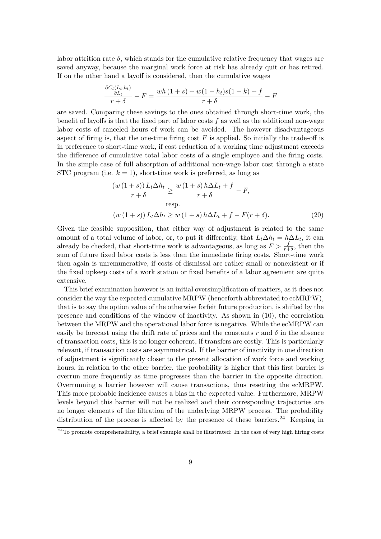labor attrition rate  $\delta$ , which stands for the cumulative relative frequency that wages are saved anyway, because the marginal work force at risk has already quit or has retired. If on the other hand a layoff is considered, then the cumulative wages

$$
\frac{\frac{\partial C_t(L_t, h_t)}{\partial L_t}}{r+\delta} - F = \frac{wh(1+s) + w(1-h_t)s(1-k) + f}{r+\delta} - F
$$

are saved. Comparing these savings to the ones obtained through short-time work, the benefit of layoffs is that the fixed part of labor costs *f* as well as the additional non-wage labor costs of canceled hours of work can be avoided. The however disadvantageous aspect of firing is, that the one-time firing cost *F* is applied. So initially the trade-off is in preference to short-time work, if cost reduction of a working time adjustment exceeds the difference of cumulative total labor costs of a single employee and the firing costs. In the simple case of full absorption of additional non-wage labor cost through a state STC program (i.e.  $k = 1$ ), short-time work is preferred, as long as

$$
\frac{(w(1+s)) L_t \Delta h_t}{r + \delta} \ge \frac{w(1+s) h \Delta L_t + f}{r + \delta} - F,
$$
  
resp.  

$$
(w(1+s)) L_t \Delta h_t \ge w(1+s) h \Delta L_t + f - F(r + \delta).
$$
 (20)

Given the feasible supposition, that either way of adjustment is related to the same amount of a total volume of labor, or, to put it differently, that  $L_t \Delta h_t = h \Delta L_t$ , it can already be checked, that short-time work is advantageous, as long as  $F > \frac{f}{r+\delta}$ , then the sum of future fixed labor costs is less than the immediate firing costs. Short-time work then again is unremunerative, if costs of dismissal are rather small or nonexistent or if the fixed upkeep costs of a work station or fixed benefits of a labor agreement are quite extensive.

This brief examination however is an initial oversimplification of matters, as it does not consider the way the expected cumulative MRPW (henceforth abbreviated to ecMRPW), that is to say the option value of the otherwise forfeit future production, is shifted by the presence and conditions of the window of inactivity. As shown in (10), the correlation between the MRPW and the operational labor force is negative. While the ecMRPW can easily be forecast using the drift rate of prices and the constants  $r$  and  $\delta$  in the absence of transaction costs, this is no longer coherent, if transfers are costly. This is particularly relevant, if transaction costs are asymmetrical. If the barrier of inactivity in one direction of adjustment is significantly closer to the present allocation of work force and working hours, in relation to the other barrier, the probability is higher that this first barrier is overrun more frequently as time progresses than the barrier in the opposite direction. Overrunning a barrier however will cause transactions, thus resetting the ecMRPW. This more probable incidence causes a bias in the expected value. Furthermore, MRPW levels beyond this barrier will not be realized and their corresponding trajectories are no longer elements of the filtration of the underlying MRPW process. The probability distribution of the process is affected by the presence of these barriers.<sup>24</sup> Keeping in

 $24$ To promote comprehensibility, a brief example shall be illustrated: In the case of very high hiring costs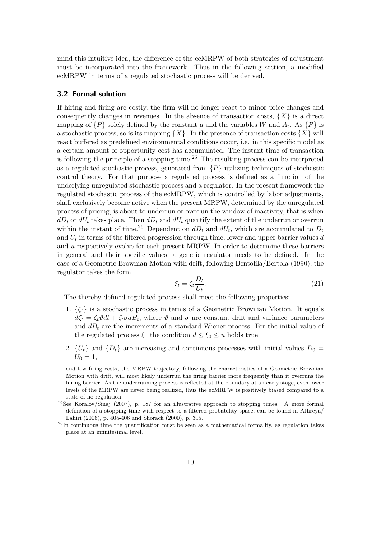mind this intuitive idea, the difference of the ecMRPW of both strategies of adjustment must be incorporated into the framework. Thus in the following section, a modified ecMRPW in terms of a regulated stochastic process will be derived.

### **3.2 Formal solution**

If hiring and firing are costly, the firm will no longer react to minor price changes and consequently changes in revenues. In the absence of transaction costs,  $\{X\}$  is a direct mapping of  $\{P\}$  solely defined by the constant  $\mu$  and the variables *W* and  $A_t$ . As  $\{P\}$  is a stochastic process, so is its mapping  $\{X\}$ . In the presence of transaction costs  $\{X\}$  will react buffered as predefined environmental conditions occur, i.e. in this specific model as a certain amount of opportunity cost has accumulated. The instant time of transaction is following the principle of a stopping time.<sup>25</sup> The resulting process can be interpreted as a regulated stochastic process, generated from  $\{P\}$  utilizing techniques of stochastic control theory. For that purpose a regulated process is defined as a function of the underlying unregulated stochastic process and a regulator. In the present framework the regulated stochastic process of the ecMRPW, which is controlled by labor adjustments, shall exclusively become active when the present MRPW, determined by the unregulated process of pricing, is about to underrun or overrun the window of inactivity, that is when  $dD_t$  or  $dU_t$  takes place. Then  $dD_t$  and  $dU_t$  quantify the extent of the underrun or overrun within the instant of time.<sup>26</sup> Dependent on  $dD_t$  and  $dU_t$ , which are accumulated to  $D_t$ and *U<sup>t</sup>* in terms of the filtered progression through time, lower and upper barrier values *d* and *u* respectively evolve for each present MRPW. In order to determine these barriers in general and their specific values, a generic regulator needs to be defined. In the case of a Geometric Brownian Motion with drift, following Bentolila/Bertola (1990), the regulator takes the form

$$
\xi_t = \zeta_t \frac{D_t}{U_t}.\tag{21}
$$

The thereby defined regulated process shall meet the following properties:

- 1.  $\{\zeta_t\}$  is a stochastic process in terms of a Geometric Brownian Motion. It equals  $d\zeta_t = \zeta_t \vartheta dt + \zeta_t \sigma dB_t$ , where  $\vartheta$  and  $\sigma$  are constant drift and variance parameters and  $d_{t}$  are the increments of a standard Wiener process. For the initial value of the regulated process  $\xi_0$  the condition  $d \leq \xi_0 \leq u$  holds true,
- 2.  ${U_t}$  and  ${D_t}$  are increasing and continuous processes with initial values  $D_0 =$  $U_0 = 1$ ,

and low firing costs, the MRPW trajectory, following the characteristics of a Geometric Brownian Motion with drift, will most likely underrun the firing barrier more frequently than it overruns the hiring barrier. As the underrunning process is reflected at the boundary at an early stage, even lower levels of the MRPW are never being realized, thus the ecMRPW is positively biased compared to a state of no regulation.

<sup>&</sup>lt;sup>25</sup>See Koralov/Sinaj (2007), p. 187 for an illustrative approach to stopping times. A more formal definition of a stopping time with respect to a filtered probability space, can be found in Athreya/ Lahiri (2006), p. 405-406 and Shorack (2000), p. 305.

 $^{26}$ In continuous time the quantification must be seen as a mathematical formality, as regulation takes place at an infinitesimal level.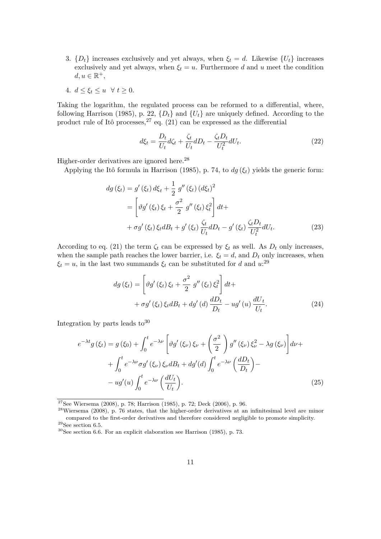- 3.  $\{D_t\}$  increases exclusively and yet always, when  $\xi_t = d$ . Likewise  $\{U_t\}$  increases exclusively and yet always, when  $\xi_t = u$ . Furthermore *d* and *u* meet the condition  $d, u \in \mathbb{R}^+,$
- 4.  $d \leq \xi_t \leq u \quad \forall \ t \geq 0.$

Taking the logarithm, the regulated process can be reformed to a differential, where, following Harrison (1985), p. 22,  $\{D_t\}$  and  $\{U_t\}$  are uniquely defined. According to the product rule of Itô processes,  $27$  eq. (21) can be expressed as the differential

$$
d\xi_t = \frac{D_t}{U_t} d\zeta_t + \frac{\zeta_t}{U_t} dD_t - \frac{\zeta_t D_t}{U_t^2} dU_t.
$$
\n(22)

Higher-order derivatives are ignored here.<sup>28</sup>

Applying the Itô formula in Harrison (1985), p. 74, to *dg* (*ξt*) yields the generic form:

$$
dg (\xi_t) = g' (\xi_t) d\xi_t + \frac{1}{2} g'' (\xi_t) (d\xi_t)^2
$$
  
= 
$$
\left[ \vartheta g' (\xi_t) \xi_t + \frac{\sigma^2}{2} g'' (\xi_t) \xi_t^2 \right] dt +
$$
  
+ 
$$
\sigma g' (\xi_t) \xi_t dB_t + g' (\xi_t) \frac{\zeta_t}{U_t} dD_t - g' (\xi_t) \frac{\zeta_t D_t}{U_t^2} dU_t.
$$
 (23)

According to eq. (21) the term  $\zeta_t$  can be expressed by  $\xi_t$  as well. As  $D_t$  only increases, when the sample path reaches the lower barrier, i.e.  $\xi_t = d$ , and  $D_t$  only increases, when  $\xi_t = u$ , in the last two summands  $\xi_t$  can be substituted for *d* and  $u$ <sup>29</sup>

$$
dg\left(\xi_{t}\right) = \left[\vartheta g'\left(\xi_{t}\right)\xi_{t} + \frac{\sigma^{2}}{2} g''\left(\xi_{t}\right)\xi_{t}^{2}\right]dt +
$$

$$
+ \sigma g'\left(\xi_{t}\right)\xi_{t}dB_{t} + dg'\left(d\right)\frac{dD_{t}}{D_{t}} - ug'\left(u\right)\frac{dU_{t}}{U_{t}}.
$$
(24)

Integration by parts leads  $to^{30}$ 

$$
e^{-\lambda t}g(\xi_t) = g(\xi_0) + \int_0^t e^{-\lambda \nu} \left[ \vartheta g'(\xi_\nu) \xi_\nu + \left( \frac{\sigma^2}{2} \right) g''(\xi_\nu) \xi_\nu^2 - \lambda g(\xi_\nu) \right] d\nu +
$$
  
+ 
$$
\int_0^t e^{-\lambda \nu} \sigma g'(\xi_\nu) \xi_\nu dB_t + dg'(d) \int_0^t e^{-\lambda \nu} \left( \frac{dD_t}{D_t} \right) -
$$
  
- 
$$
ug'(u) \int_0^t e^{-\lambda \nu} \left( \frac{dU_t}{U_t} \right).
$$
 (25)

<sup>27</sup>See Wiersema (2008), p. 78; Harrison (1985), p. 72; Deck (2006), p. 96.

<sup>28</sup>Wiersema (2008), p. 76 states, that the higher-order derivatives at an infinitesimal level are minor compared to the first-order derivatives and therefore considered negligible to promote simplicity.  $^{29}\mathrm{See}$  section 6.5.

 $30$ See section 6.6. For an explicit elaboration see Harrison (1985), p. 73.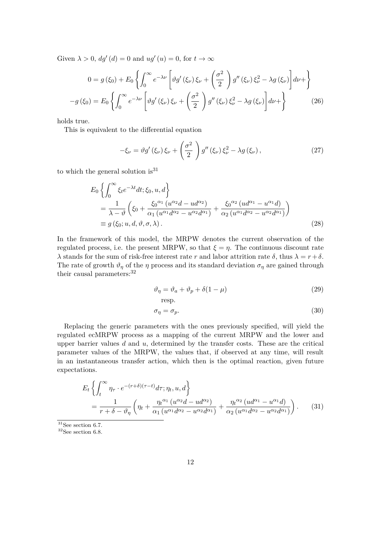Given  $\lambda > 0$ ,  $dg'(d) = 0$  and  $ug'(u) = 0$ , for  $t \to \infty$ 

$$
0 = g(\xi_0) + E_0 \left\{ \int_0^\infty e^{-\lambda \nu} \left[ \vartheta g'(\xi_\nu) \xi_\nu + \left( \frac{\sigma^2}{2} \right) g''(\xi_\nu) \xi_\nu^2 - \lambda g(\xi_\nu) \right] d\nu + \right\}
$$

$$
-g(\xi_0) = E_0 \left\{ \int_0^\infty e^{-\lambda \nu} \left[ \vartheta g'(\xi_\nu) \xi_\nu + \left( \frac{\sigma^2}{2} \right) g''(\xi_\nu) \xi_\nu^2 - \lambda g(\xi_\nu) \right] d\nu + \right\}
$$
(26)

holds true.

This is equivalent to the differential equation

$$
-\xi_{\nu} = \vartheta g'(\xi_{\nu})\,\xi_{\nu} + \left(\frac{\sigma^2}{2}\right)g''(\xi_{\nu})\,\xi_{\nu}^2 - \lambda g(\xi_{\nu}),\tag{27}
$$

to which the general solution is  $31$ 

$$
E_0 \left\{ \int_0^\infty \xi_t e^{-\lambda t} dt; \xi_0, u, d \right\}
$$
  
=  $\frac{1}{\lambda - \vartheta} \left( \xi_0 + \frac{\xi_0^{\alpha_1} (u^{\alpha_2} d - u d^{\alpha_2})}{\alpha_1 (u^{\alpha_1} d^{\alpha_2} - u^{\alpha_2} d^{\alpha_1})} + \frac{\xi_0^{\alpha_2} (u d^{\alpha_1} - u^{\alpha_1} d)}{\alpha_2 (u^{\alpha_1} d^{\alpha_2} - u^{\alpha_2} d^{\alpha_1})} \right)$   
=  $g(\xi_0; u, d, \vartheta, \sigma, \lambda).$  (28)

In the framework of this model, the MRPW denotes the current observation of the regulated process, i.e. the present MRPW, so that  $\xi = \eta$ . The continuous discount rate *λ* stands for the sum of risk-free interest rate *r* and labor attrition rate *δ*, thus  $λ = r + δ$ . The rate of growth  $\vartheta_n$  of the *η* process and its standard deviation  $\sigma_n$  are gained through their causal parameters:  $32$ 

$$
\vartheta_{\eta} = \vartheta_a + \vartheta_p + \delta(1 - \mu) \tag{29}
$$

resp.

$$
\sigma_{\eta} = \sigma_p. \tag{30}
$$

Replacing the generic parameters with the ones previously specified, will yield the regulated ecMRPW process as a mapping of the current MRPW and the lower and upper barrier values  $d$  and  $u$ , determined by the transfer costs. These are the critical parameter values of the MRPW, the values that, if observed at any time, will result in an instantaneous transfer action, which then is the optimal reaction, given future expectations.

$$
E_t \left\{ \int_t^{\infty} \eta_{\tau} \cdot e^{-(r+\delta)(\tau-t)} d\tau; \eta_t, u, d \right\}
$$
  
= 
$$
\frac{1}{r+\delta-\vartheta_{\eta}} \left( \eta_t + \frac{\eta_t^{\alpha_1} (u^{\alpha_2}d - ud^{\alpha_2})}{\alpha_1 (u^{\alpha_1}d^{\alpha_2} - u^{\alpha_2}d^{\alpha_1})} + \frac{\eta_t^{\alpha_2} (ud^{\alpha_1} - u^{\alpha_1}d)}{\alpha_2 (u^{\alpha_1}d^{\alpha_2} - u^{\alpha_2}d^{\alpha_1})} \right).
$$
 (31)

 $\overline{\text{^{31}See}}$  section 6.7.

<sup>32</sup>See section 6.8.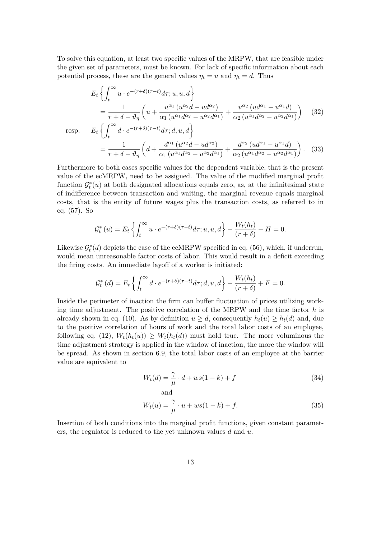To solve this equation, at least two specific values of the MRPW, that are feasible under the given set of parameters, must be known. For lack of specific information about each potential process, these are the general values  $\eta_t = u$  and  $\eta_t = d$ . Thus

$$
E_t \left\{ \int_t^{\infty} u \cdot e^{-(r+\delta)(\tau-t)} d\tau; u, u, d \right\}
$$
  
\n
$$
= \frac{1}{r+\delta-\vartheta_{\eta}} \left( u + \frac{u^{\alpha_1} (u^{\alpha_2}d - u d^{\alpha_2})}{\alpha_1 (u^{\alpha_1}d^{\alpha_2} - u^{\alpha_2}d^{\alpha_1})} + \frac{u^{\alpha_2} (ud^{\alpha_1} - u^{\alpha_1}d)}{\alpha_2 (u^{\alpha_1}d^{\alpha_2} - u^{\alpha_2}d^{\alpha_1})} \right)
$$
(32)  
\nresp. 
$$
E_t \left\{ \int_t^{\infty} d \cdot e^{-(r+\delta)(\tau-t)} d\tau; d, u, d \right\}
$$
  
\n
$$
= \frac{1}{r+\delta-\vartheta_{\eta}} \left( d + \frac{d^{\alpha_1} (u^{\alpha_2}d - u d^{\alpha_2})}{\alpha_1 (u^{\alpha_1}d^{\alpha_2} - u^{\alpha_2}d^{\alpha_1})} + \frac{d^{\alpha_2} (ud^{\alpha_1} - u^{\alpha_1}d)}{\alpha_2 (u^{\alpha_1}d^{\alpha_2} - u^{\alpha_2}d^{\alpha_1})} \right).
$$
(33)

Furthermore to both cases specific values for the dependent variable, that is the present value of the ecMRPW, need to be assigned. The value of the modified marginal profit function  $\mathcal{G}_t^*(u)$  at both designated allocations equals zero, as, at the infinitesimal state of indifference between transaction and waiting, the marginal revenue equals marginal costs, that is the entity of future wages plus the transaction costs, as referred to in eq. (57). So

$$
\mathcal{G}_t^*(u) = E_t \left\{ \int_t^\infty u \cdot e^{-(r+\delta)(\tau-t)} d\tau; u, u, d \right\} - \frac{W_t(h_t)}{(r+\delta)} - H = 0.
$$

Likewise  $\mathcal{G}_t^*(d)$  depicts the case of the ecMRPW specified in eq. (56), which, if underrun, would mean unreasonable factor costs of labor. This would result in a deficit exceeding the firing costs. An immediate layoff of a worker is initiated:

$$
\mathcal{G}_t^{\ast}\left(d\right) = E_t\left\{\int_t^{\infty} d \cdot e^{-(r+\delta)(\tau-t)} d\tau; d, u, d\right\} - \frac{W_t(h_t)}{(r+\delta)} + F = 0.
$$

Inside the perimeter of inaction the firm can buffer fluctuation of prices utilizing working time adjustment. The positive correlation of the MRPW and the time factor *h* is already shown in eq. (10). As by definition  $u \geq d$ , consequently  $h_t(u) \geq h_t(d)$  and, due to the positive correlation of hours of work and the total labor costs of an employee, following eq. (12),  $W_t(h_t(u)) \geq W_t(h_t(d))$  must hold true. The more voluminous the time adjustment strategy is applied in the window of inaction, the more the window will be spread. As shown in section 6.9, the total labor costs of an employee at the barrier value are equivalent to

$$
W_t(d) = \frac{\gamma}{\mu} \cdot d + ws(1 - k) + f \tag{34}
$$

$$
W_t(u) = \frac{\gamma}{\mu} \cdot u + ws(1 - k) + f. \tag{35}
$$

Insertion of both conditions into the marginal profit functions, given constant parameters, the regulator is reduced to the yet unknown values *d* and *u*.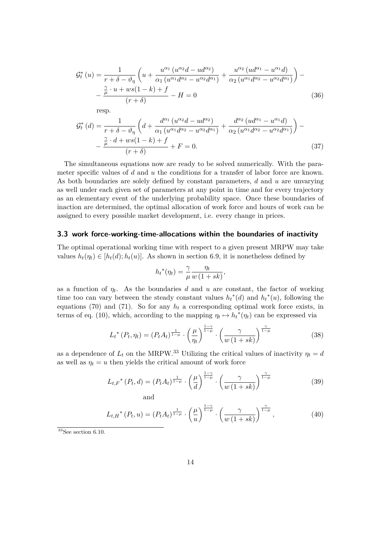$$
\mathcal{G}_{t}^{*}(u) = \frac{1}{r + \delta - \vartheta_{\eta}} \left( u + \frac{u^{\alpha_{1}} \left( u^{\alpha_{2}} d - u d^{\alpha_{2}} \right)}{\alpha_{1} \left( u^{\alpha_{1}} d^{\alpha_{2}} - u^{\alpha_{2}} d^{\alpha_{1}} \right)} + \frac{u^{\alpha_{2}} \left( u d^{\alpha_{1}} - u^{\alpha_{1}} d \right)}{\alpha_{2} \left( u^{\alpha_{1}} d^{\alpha_{2}} - u^{\alpha_{2}} d^{\alpha_{1}} \right)} \right) - \frac{\frac{\gamma}{\mu} \cdot u + ws(1 - k) + f}{(r + \delta)} - H = 0 \tag{36}
$$

$$
\mathcal{G}_{t}^{*}\left(d\right) = \frac{1}{r+\delta-\vartheta_{\eta}}\left(d + \frac{d^{\alpha_{1}}\left(u^{\alpha_{2}}d - ud^{\alpha_{2}}\right)}{\alpha_{1}\left(u^{\alpha_{1}}d^{\alpha_{2}} - u^{\alpha_{2}}d^{\alpha_{1}}\right)} + \frac{d^{\alpha_{2}}\left(ud^{\alpha_{1}} - u^{\alpha_{1}}d\right)}{\alpha_{2}\left(u^{\alpha_{1}}d^{\alpha_{2}} - u^{\alpha_{2}}d^{\alpha_{1}}\right)}\right) - \frac{\frac{\gamma}{\mu} \cdot d + ws(1-k) + f}{(r+\delta)} + F = 0.
$$
\n(37)

The simultaneous equations now are ready to be solved numerically. With the parameter specific values of *d* and *u* the conditions for a transfer of labor force are known. As both boundaries are solely defined by constant parameters, *d* and *u* are unvarying as well under each given set of parameters at any point in time and for every trajectory as an elementary event of the underlying probability space. Once these boundaries of inaction are determined, the optimal allocation of work force and hours of work can be assigned to every possible market development, i.e. every change in prices.

### **3.3 work force-working-time-allocations within the boundaries of inactivity**

The optimal operational working time with respect to a given present MRPW may take values  $h_t(\eta_t) \in [h_t(d); h_t(u)]$ . As shown in section 6.9, it is nonetheless defined by

$$
h_t^*(\eta_t) = \frac{\gamma}{\mu} \frac{\eta_t}{w(1+sk)},
$$

as a function of  $\eta_t$ . As the boundaries *d* and *u* are constant, the factor of working time too can vary between the steady constant values  $h_t^*(d)$  and  $h_t^*(u)$ , following the equations (70) and (71). So for any  $h_t$  a corresponding optimal work force exists, in terms of eq. (10), which, according to the mapping  $\eta_t \mapsto h_t^*(\eta_t)$  can be expressed via

$$
L_t^*(P_t, \eta_t) = (P_t A_t)^{\frac{1}{1-\mu}} \cdot \left(\frac{\mu}{\eta_t}\right)^{\frac{1-\gamma}{1-\mu}} \cdot \left(\frac{\gamma}{w\left(1+sk\right)}\right)^{\frac{\gamma}{1-\mu}}
$$
(38)

as a dependence of  $L_t$  on the MRPW.<sup>33</sup> Utilizing the critical values of inactivity  $\eta_t = d$ as well as  $\eta_t = u$  then yields the critical amount of work force

$$
L_{t,F}^{*}(P_t, d) = (P_t A_t)^{\frac{1}{1-\mu}} \cdot \left(\frac{\mu}{d}\right)^{\frac{1-\gamma}{1-\mu}} \cdot \left(\frac{\gamma}{w(1+sk)}\right)^{\frac{\gamma}{1-\mu}}
$$
(39)

$$
L_{t,H}^{*}(P_{t}, u) = (P_{t}A_{t})^{\frac{1}{1-\mu}} \cdot \left(\frac{\mu}{u}\right)^{\frac{1-\gamma}{1-\mu}} \cdot \left(\frac{\gamma}{w(1+sk)}\right)^{\frac{\gamma}{1-\mu}},
$$
\n(40)

 $33$ See section 6.10.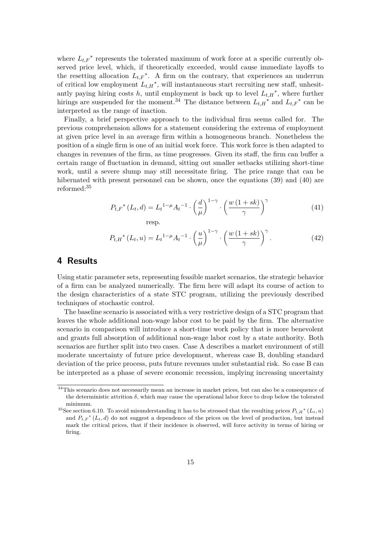where  $L_{t,F}^*$  represents the tolerated maximum of work force at a specific currently observed price level, which, if theoretically exceeded, would cause immediate layoffs to the resetting allocation  $L_{t,F}^*$ . A firm on the contrary, that experiences an underrun of critical low employment  $L_{t,H}^*$ , will instantaneous start recruiting new staff, unhesitantly paying hiring costs  $h$ , until employment is back up to level  $L_{t,H}^*$ , where further hirings are suspended for the moment.<sup>34</sup> The distance between  $L_{t,H}^*$  and  $L_{t,F}^*$  can be interpreted as the range of inaction.

Finally, a brief perspective approach to the individual firm seems called for. The previous comprehension allows for a statement considering the extrema of employment at given price level in an average firm within a homogeneous branch. Nonetheless the position of a single firm is one of an initial work force. This work force is then adapted to changes in revenues of the firm, as time progresses. Given its staff, the firm can buffer a certain range of fluctuation in demand, sitting out smaller setbacks utilizing short-time work, until a severe slump may still necessitate firing. The price range that can be hibernated with present personnel can be shown, once the equations (39) and (40) are reformed:<sup>35</sup>

$$
P_{t,F}^*(L_t, d) = L_t^{1-\mu} A_t^{-1} \cdot \left(\frac{d}{\mu}\right)^{1-\gamma} \cdot \left(\frac{w(1+sk)}{\gamma}\right)^{\gamma}
$$
(41)  
resp.

$$
P_{t,H}^{*}(L_{t}, u) = L_{t}^{1-\mu} A_{t}^{-1} \cdot \left(\frac{u}{\mu}\right)^{1-\gamma} \cdot \left(\frac{w(1+sk)}{\gamma}\right)^{\gamma}.
$$
 (42)

# **4 Results**

Using static parameter sets, representing feasible market scenarios, the strategic behavior of a firm can be analyzed numerically. The firm here will adapt its course of action to the design characteristics of a state STC program, utilizing the previously described techniques of stochastic control.

The baseline scenario is associated with a very restrictive design of a STC program that leaves the whole additional non-wage labor cost to be paid by the firm. The alternative scenario in comparison will introduce a short-time work policy that is more benevolent and grants full absorption of additional non-wage labor cost by a state authority. Both scenarios are further split into two cases. Case A describes a market environment of still moderate uncertainty of future price development, whereas case B, doubling standard deviation of the price process, puts future revenues under substantial risk. So case B can be interpreted as a phase of severe economic recession, implying increasing uncertainty

<sup>&</sup>lt;sup>34</sup>This scenario does not necessarily mean an increase in market prices, but can also be a consequence of the deterministic attrition  $\delta$ , which may cause the operational labor force to drop below the tolerated minimum.

<sup>&</sup>lt;sup>35</sup>See section 6.10. To avoid misunderstanding it has to be stressed that the resulting prices  $P_{t,H}^*(L_t, u)$ and  $P_{t,F}^*(L_t, d)$  do not suggest a dependence of the prices on the level of production, but instead mark the critical prices, that if their incidence is observed, will force activity in terms of hiring or firing.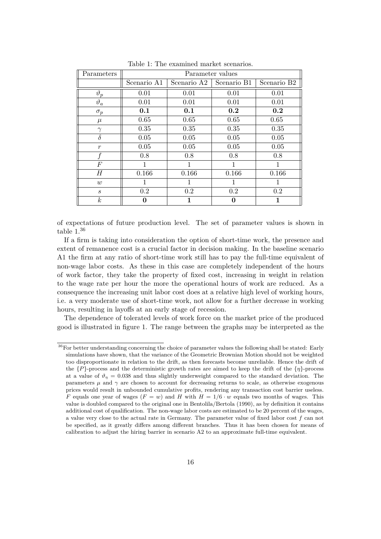| Parameters                  | Parameter values |             |             |                         |  |
|-----------------------------|------------------|-------------|-------------|-------------------------|--|
|                             | Scenario A1      | Scenario A2 | Scenario B1 | Scenario B <sub>2</sub> |  |
| $\vartheta_p$               | 0.01             | 0.01        | 0.01        | 0.01                    |  |
| $\vartheta_a$               | 0.01             | 0.01        | 0.01        | 0.01                    |  |
| $\sigma_p$                  | 0.1              | 0.1         | 0.2         | 0.2                     |  |
| $\mu$                       | 0.65             | 0.65        | 0.65        | 0.65                    |  |
| $\gamma$                    | 0.35             | 0.35        | 0.35        | 0.35                    |  |
| $\delta$                    | 0.05             | 0.05        | 0.05        | 0.05                    |  |
| $\boldsymbol{r}$            | 0.05             | 0.05        | 0.05        | 0.05                    |  |
|                             | 0.8              | 0.8         | 0.8         | 0.8                     |  |
| $\boldsymbol{F}$            | 1                | 1           | 1           | $\mathbf{1}$            |  |
| H                           | 0.166            | 0.166       | 0.166       | 0.166                   |  |
| w                           | 1                | 1           | 1           |                         |  |
| $\mathcal{S}_{\mathcal{S}}$ | 0.2              | 0.2         | 0.2         | 0.2                     |  |
| $\boldsymbol{k}$            | 0                | 1           | 0           | 1                       |  |

Table 1: The examined market scenarios.

of expectations of future production level. The set of parameter values is shown in table 1.<sup>36</sup>

If a firm is taking into consideration the option of short-time work, the presence and extent of remanence cost is a crucial factor in decision making. In the baseline scenario A1 the firm at any ratio of short-time work still has to pay the full-time equivalent of non-wage labor costs. As these in this case are completely independent of the hours of work factor, they take the property of fixed cost, increasing in weight in relation to the wage rate per hour the more the operational hours of work are reduced. As a consequence the increasing unit labor cost does at a relative high level of working hours, i.e. a very moderate use of short-time work, not allow for a further decrease in working hours, resulting in layoffs at an early stage of recession.

The dependence of tolerated levels of work force on the market price of the produced good is illustrated in figure 1. The range between the graphs may be interpreted as the

 $36$  For better understanding concerning the choice of parameter values the following shall be stated: Early simulations have shown, that the variance of the Geometric Brownian Motion should not be weighted too disproportionate in relation to the drift, as then forecasts become unreliable. Hence the drift of the {*P*}-process and the deterministic growth rates are aimed to keep the drift of the {*η*}-process at a value of  $\vartheta_n = 0.038$  and thus slightly underweight compared to the standard deviation. The parameters  $\mu$  and  $\gamma$  are chosen to account for decreasing returns to scale, as otherwise exogenous prices would result in unbounded cumulative profits, rendering any transaction cost barrier useless. *F* equals one year of wages  $(F = w)$  and *H* with  $H = 1/6 \cdot w$  equals two months of wages. This value is doubled compared to the original one in Bentolila/Bertola (1990), as by definition it contains additional cost of qualification. The non-wage labor costs are estimated to be 20 percent of the wages, a value very close to the actual rate in Germany. The parameter value of fixed labor cost *f* can not be specified, as it greatly differs among different branches. Thus it has been chosen for means of calibration to adjust the hiring barrier in scenario A2 to an approximate full-time equivalent.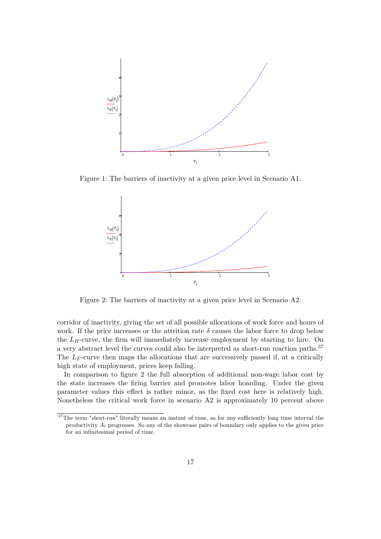

Figure 1: The barriers of inactivity at a given price level in Scenario A1.



Figure 2: The barriers of inactivity at a given price level in Scenario A2.

corridor of inactivity, giving the set of all possible allocations of work force and hours of work. If the price increases or the attrition rate  $\delta$  causes the labor force to drop below the  $L_H$ -curve, the firm will immediately increase employment by starting to hire. On a very abstract level the curves could also be interpreted as short-run reaction paths.<sup>37</sup> The *L<sub>F</sub>*-curve then maps the allocations that are successively passed if, at a critically high state of employment, prices keep falling.

In comparison to figure 2 the full absorption of additional non-wage labor cost by the state increases the firing barrier and promotes labor hoarding. Under the given parameter values this effect is rather minor, as the fixed cost here is relatively high. Nonetheless the critical work force in scenario A2 is approximately 10 percent above

<sup>&</sup>lt;sup>37</sup>The term "short-run" literally means an instant of time, as for any sufficiently long time interval the productivity *A<sup>t</sup>* progresses. So any of the showcase pairs of boundary only applies to the given price for an infinitesimal period of time.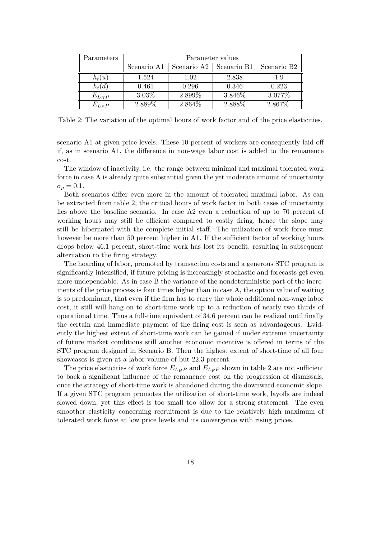| Parameters  | Parameter values |             |             |                         |  |
|-------------|------------------|-------------|-------------|-------------------------|--|
|             | Scenario A1      | Scenario A2 | Scenario B1 | Scenario B <sub>2</sub> |  |
| $h_t(u)$    | 1.524            | 1.02        | 2.838       | 1.9                     |  |
| $h_t(d)$    | 0.461            | 0.296       | 0.346       | 0.223                   |  |
| $E_{L_H P}$ | $3.03\%$         | 2.899%      | 3.846%      | 3.077\%                 |  |
| $E_{L_F P}$ | 2.889%           | 2.864\%     | 2.888%      | 2.867%                  |  |

Table 2: The variation of the optimal hours of work factor and of the price elasticities.

scenario A1 at given price levels. These 10 percent of workers are consequently laid off if, as in scenario A1, the difference in non-wage labor cost is added to the remanence cost.

The window of inactivity, i.e. the range between minimal and maximal tolerated work force in case A is already quite substantial given the yet moderate amount of uncertainty  $\sigma_p = 0.1$ .

Both scenarios differ even more in the amount of tolerated maximal labor. As can be extracted from table 2, the critical hours of work factor in both cases of uncertainty lies above the baseline scenario. In case A2 even a reduction of up to 70 percent of working hours may still be efficient compared to costly firing, hence the slope may still be hibernated with the complete initial staff. The utilization of work force must however be more than 50 percent higher in A1. If the sufficient factor of working hours drops below 46.1 percent, short-time work has lost its benefit, resulting in subsequent alternation to the firing strategy.

The hoarding of labor, promoted by transaction costs and a generous STC program is significantly intensified, if future pricing is increasingly stochastic and forecasts get even more undependable. As in case B the variance of the nondeterministic part of the increments of the price process is four times higher than in case A, the option value of waiting is so predominant, that even if the firm has to carry the whole additional non-wage labor cost, it still will hang on to short-time work up to a reduction of nearly two thirds of operational time. Thus a full-time equivalent of 34.6 percent can be realized until finally the certain and immediate payment of the firing cost is seen as advantageous. Evidently the highest extent of short-time work can be gained if under extreme uncertainty of future market conditions still another economic incentive is offered in terms of the STC program designed in Scenario B. Then the highest extent of short-time of all four showcases is given at a labor volume of but 22.3 percent.

The price elasticities of work force  $E_{L_H}$  and  $E_{L_F}$  shown in table 2 are not sufficient to back a significant influence of the remanence cost on the progression of dismissals, once the strategy of short-time work is abandoned during the downward economic slope. If a given STC program promotes the utilization of short-time work, layoffs are indeed slowed down, yet this effect is too small too allow for a strong statement. The even smoother elasticity concerning recruitment is due to the relatively high maximum of tolerated work force at low price levels and its convergence with rising prices.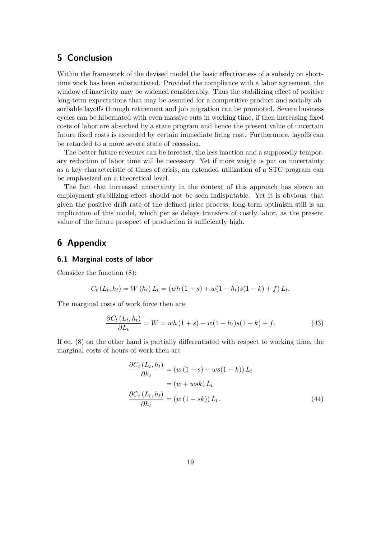# **5 Conclusion**

Within the framework of the devised model the basic effectiveness of a subsidy on shorttime work has been substantiated. Provided the compliance with a labor agreement, the window of inactivity may be widened considerably. Thus the stabilizing effect of positive long-term expectations that may be assumed for a competitive product and socially absorbable layoffs through retirement and job migration can be promoted. Severe business cycles can be hibernated with even massive cuts in working time, if then increasing fixed costs of labor are absorbed by a state program and hence the present value of uncertain future fixed costs is exceeded by certain immediate firing cost. Furthermore, layoffs can be retarded to a more severe state of recession.

The better future revenues can be forecast, the less inaction and a supposedly temporary reduction of labor time will be necessary. Yet if more weight is put on uncertainty as a key characteristic of times of crisis, an extended utilization of a STC program can be emphasized on a theoretical level.

The fact that increased uncertainty in the context of this approach has shown an employment stabilizing effect should not be seen indisputable. Yet it is obvious, that given the positive drift rate of the defined price process, long-term optimism still is an implication of this model, which per se delays transfers of costly labor, as the present value of the future prospect of production is sufficiently high.

# **6 Appendix**

### **6.1 Marginal costs of labor**

Consider the function (8):

$$
C_t(L_t, h_t) = W(h_t) L_t = (wh(1 + s) + w(1 - h_t)s(1 - k) + f) L_t.
$$

The marginal costs of work force then are

$$
\frac{\partial C_t (L_t, h_t)}{\partial L_t} = W = wh (1 + s) + w(1 - h_t)s(1 - k) + f.
$$
\n(43)

If eq. (8) on the other hand is partially differentiated with respect to working time, the marginal costs of hours of work then are

$$
\frac{\partial C_t (L_t, h_t)}{\partial h_t} = (w (1 + s) - ws(1 - k)) L_t
$$

$$
= (w + wsk) L_t
$$

$$
\frac{\partial C_t (L_t, h_t)}{\partial h_t} = (w (1 + sk)) L_t.
$$
(44)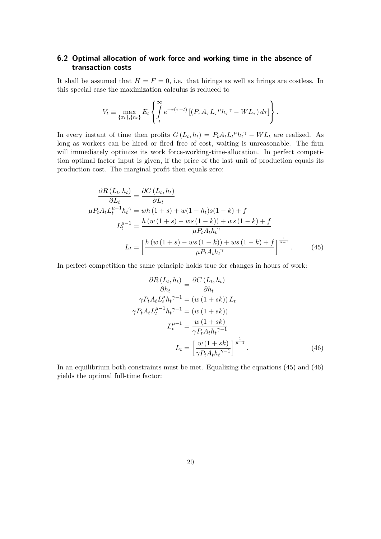# **6.2 Optimal allocation of work force and working time in the absence of transaction costs**

It shall be assumed that  $H = F = 0$ , i.e. that hirings as well as firings are costless. In this special case the maximization calculus is reduced to

$$
V_t \equiv \max_{\{x_t\},\{h_t\}} E_t \left\{ \int_t^{\infty} e^{-r(\tau-t)} \left[ \left( P_\tau A_\tau L_\tau{}^\mu h_\tau{}^\gamma - WL_\tau \right) d\tau \right] \right\}.
$$

In every instant of time then profits  $G(L_t, h_t) = P_t A_t L_t^{\mu} h_t^{\gamma} - WL_t$  are realized. As long as workers can be hired or fired free of cost, waiting is unreasonable. The firm will immediately optimize its work force-working-time-allocation. In perfect competition optimal factor input is given, if the price of the last unit of production equals its production cost. The marginal profit then equals zero:

$$
\frac{\partial R(L_t, h_t)}{\partial L_t} = \frac{\partial C(L_t, h_t)}{\partial L_t}
$$
\n
$$
\mu P_t A_t L_t^{\mu-1} h_t^{\gamma} = wh (1+s) + w(1-h_t)s(1-k) + f
$$
\n
$$
L_t^{\mu-1} = \frac{h (w (1+s) - ws (1-k)) + ws (1-k) + f}{\mu P_t A_t h_t^{\gamma}}
$$
\n
$$
L_t = \left[ \frac{h (w (1+s) - ws (1-k)) + ws (1-k) + f}{\mu P_t A_t h_t^{\gamma}} \right]^{\frac{1}{\mu-1}}.
$$
\n(45)

In perfect competition the same principle holds true for changes in hours of work:

$$
\frac{\partial R(L_t, h_t)}{\partial h_t} = \frac{\partial C(L_t, h_t)}{\partial h_t}
$$

$$
\gamma P_t A_t L_t^{\mu} h_t^{\gamma - 1} = (w (1 + sk)) L_t
$$

$$
\gamma P_t A_t L_t^{\mu - 1} h_t^{\gamma - 1} = (w (1 + sk))
$$

$$
L_t^{\mu - 1} = \frac{w (1 + sk)}{\gamma P_t A_t h_t^{\gamma - 1}}
$$

$$
L_t = \left[\frac{w (1 + sk)}{\gamma P_t A_t h_t^{\gamma - 1}}\right]^{\frac{1}{\mu - 1}}.
$$
(46)

In an equilibrium both constraints must be met. Equalizing the equations (45) and (46) yields the optimal full-time factor: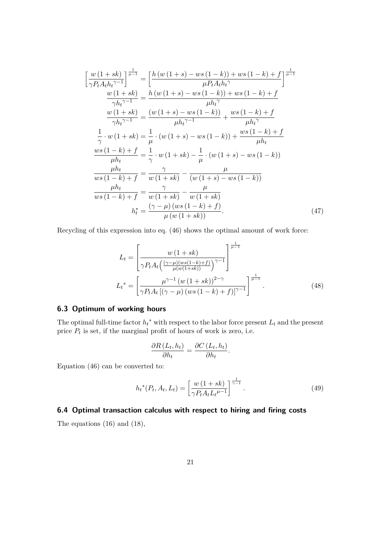$$
\left[\frac{w(1+sk)}{\gamma P_t A_t h_t^{\gamma-1}}\right]^{\frac{1}{\mu-1}} = \left[\frac{h(w(1+s) - ws(1-k)) + ws(1-k) + f}{\mu P_t A_t h_t^{\gamma}}\right]^{\frac{1}{\mu-1}}
$$
\n
$$
\frac{w(1+sk)}{\gamma h_t^{\gamma-1}} = \frac{h(w(1+s) - ws(1-k)) + ws(1-k) + f}{\mu h_t^{\gamma}}
$$
\n
$$
\frac{w(1+sk)}{\gamma h_t^{\gamma-1}} = \frac{(w(1+s) - ws(1-k))}{\mu h_t^{\gamma-1}} + \frac{ws(1-k) + f}{\mu h_t^{\gamma}}
$$
\n
$$
\frac{1}{\gamma} \cdot w(1+sk) = \frac{1}{\mu} \cdot (w(1+s) - ws(1-k)) + \frac{ws(1-k) + f}{\mu h_t}
$$
\n
$$
\frac{ws(1-k) + f}{\mu h_t} = \frac{1}{\gamma} \cdot w(1+sk) - \frac{1}{\mu} \cdot (w(1+s) - ws(1-k))
$$
\n
$$
\frac{\mu h_t}{ws(1-k) + f} = \frac{\gamma}{w(1+sk)} - \frac{\mu}{(w(1+s) - ws(1-k))}
$$
\n
$$
\frac{\mu h_t}{ws(1-k) + f} = \frac{\gamma}{w(1+sk)} - \frac{\mu}{w(1+sk)}
$$
\n
$$
h_t^* = \frac{(\gamma - \mu) (ws(1-k) + f)}{\mu (w(1+sk))}
$$
\n(47)

Recycling of this expression into eq. (46) shows the optimal amount of work force:

$$
L_{t} = \left[\frac{w(1+sk)}{\gamma P_{t} A_{t} \left(\frac{(\gamma-\mu)(ws(1-k)+f)}{\mu(w(1+sk))}\right)^{\gamma-1}}\right]^{\frac{1}{\mu-1}}
$$
  

$$
L_{t}^{*} = \left[\frac{\mu^{\gamma-1} (w(1+sk))^{2-\gamma}}{\gamma P_{t} A_{t} \left[(\gamma-\mu)(ws(1-k)+f)\right]^{\gamma-1}}\right]^{\frac{1}{\mu-1}}.
$$
(48)

### **6.3 Optimum of working hours**

The optimal full-time factor  $h_t^*$  with respect to the labor force present  $L_t$  and the present price  $P_t$  is set, if the marginal profit of hours of work is zero, i.e.

$$
\frac{\partial R(L_t, h_t)}{\partial h_t} = \frac{\partial C(L_t, h_t)}{\partial h_t}.
$$

Equation (46) can be converted to:

$$
h_t^*(P_t, A_t, L_t) = \left[\frac{w(1+sk)}{\gamma P_t A_t L_t^{\mu-1}}\right]^{\frac{1}{\gamma-1}}.\tag{49}
$$

### **6.4 Optimal transaction calculus with respect to hiring and firing costs**

The equations (16) and (18),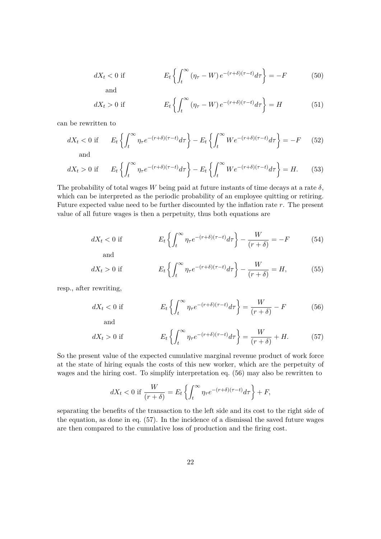$$
dX_t < 0 \text{ if } E_t \left\{ \int_t^{\infty} (\eta_\tau - W) e^{-(r+\delta)(\tau-t)} d\tau \right\} = -F \tag{50}
$$

and

$$
dX_t > 0 \text{ if } E_t \left\{ \int_t^{\infty} (\eta_\tau - W) e^{-(r+\delta)(\tau-t)} d\tau \right\} = H \tag{51}
$$

can be rewritten to

$$
dX_t < 0 \text{ if } E_t \left\{ \int_t^{\infty} \eta_\tau e^{-(r+\delta)(\tau-t)} d\tau \right\} - E_t \left\{ \int_t^{\infty} W e^{-(r+\delta)(\tau-t)} d\tau \right\} = -F \quad (52)
$$

$$
dX_t > 0 \text{ if } E_t \left\{ \int_t^\infty \eta_\tau e^{-(r+\delta)(\tau-t)} d\tau \right\} - E_t \left\{ \int_t^\infty W e^{-(r+\delta)(\tau-t)} d\tau \right\} = H. \tag{53}
$$

The probability of total wages W being paid at future instants of time decays at a rate  $\delta$ , which can be interpreted as the periodic probability of an employee quitting or retiring. Future expected value need to be further discounted by the inflation rate *r*. The present value of all future wages is then a perpetuity, thus both equations are

$$
dX_t < 0 \text{ if } E_t \left\{ \int_t^{\infty} \eta_\tau e^{-(r+\delta)(\tau-t)} d\tau \right\} - \frac{W}{(r+\delta)} = -F \tag{54}
$$

and

$$
dX_t > 0 \text{ if } E_t \left\{ \int_t^\infty \eta_\tau e^{-(r+\delta)(\tau-t)} d\tau \right\} - \frac{W}{(r+\delta)} = H,\tag{55}
$$

resp., after rewriting,

$$
dX_t < 0 \text{ if} \qquad E_t \left\{ \int_t^\infty \eta_\tau e^{-(r+\delta)(\tau-t)} d\tau \right\} = \frac{W}{(r+\delta)} - F \tag{56}
$$

and

$$
dX_t > 0 \text{ if } E_t \left\{ \int_t^{\infty} \eta_\tau e^{-(r+\delta)(\tau-t)} d\tau \right\} = \frac{W}{(r+\delta)} + H. \tag{57}
$$

So the present value of the expected cumulative marginal revenue product of work force at the state of hiring equals the costs of this new worker, which are the perpetuity of wages and the hiring cost. To simplify interpretation eq. (56) may also be rewritten to

$$
dX_t < 0 \text{ if } \frac{W}{(r+\delta)} = E_t \left\{ \int_t^{\infty} \eta_\tau e^{-(r+\delta)(\tau-t)} d\tau \right\} + F,
$$

separating the benefits of the transaction to the left side and its cost to the right side of the equation, as done in eq. (57). In the incidence of a dismissal the saved future wages are then compared to the cumulative loss of production and the firing cost.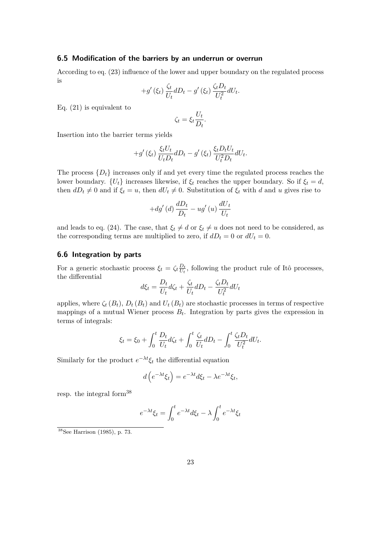### **6.5 Modification of the barriers by an underrun or overrun**

According to eq. (23) influence of the lower and upper boundary on the regulated process is

$$
+g'(\xi_t)\frac{\zeta_t}{U_t}dD_t-g'(\xi_t)\frac{\zeta_t D_t}{U_t^2}dU_t.
$$

Eq. (21) is equivalent to

$$
\zeta_t = \xi_t \frac{U_t}{D_t}.
$$

Insertion into the barrier terms yields

$$
+g'(\xi_t)\frac{\xi_t U_t}{U_t D_t}dD_t-g'(\xi_t)\frac{\xi_t D_t U_t}{U_t^2 D_t}dU_t.
$$

The process  $\{D_t\}$  increases only if and yet every time the regulated process reaches the lower boundary.  ${U_t}$  increases likewise, if  $\xi_t$  reaches the upper boundary. So if  $\xi_t = d$ , then  $dD_t \neq 0$  and if  $\xi_t = u$ , then  $dU_t \neq 0$ . Substitution of  $\xi_t$  with *d* and *u* gives rise to

$$
+dg'(d)\frac{dD_t}{D_t} - ug'(u)\frac{dU_t}{U_t}
$$

and leads to eq. (24). The case, that  $\xi_t \neq d$  or  $\xi_t \neq u$  does not need to be considered, as the corresponding terms are multiplied to zero, if  $dD_t = 0$  or  $dU_t = 0$ .

### **6.6 Integration by parts**

For a generic stochastic process  $\xi_t = \zeta_t \frac{D_t}{U_t}$  $\frac{D_t}{U_t}$ , following the product rule of Itô processes, the differential

$$
d\xi_t = \frac{D_t}{U_t} d\zeta_t + \frac{\zeta_t}{U_t} dD_t - \frac{\zeta_t D_t}{U_t^2} dU_t
$$

applies, where  $\zeta_t(B_t)$ ,  $D_t(B_t)$  and  $U_t(B_t)$  are stochastic processes in terms of respective mappings of a mutual Wiener process  $B_t$ . Integration by parts gives the expression in terms of integrals:

$$
\xi_t = \xi_0 + \int_0^t \frac{D_t}{U_t} d\zeta_t + \int_0^t \frac{\zeta_t}{U_t} dD_t - \int_0^t \frac{\zeta_t D_t}{U_t^2} dU_t.
$$

Similarly for the product  $e^{-\lambda t} \xi_t$  the differential equation

$$
d\left(e^{-\lambda t}\xi_t\right) = e^{-\lambda t}d\xi_t - \lambda e^{-\lambda t}\xi_t,
$$

resp. the integral form<sup>38</sup>

$$
e^{-\lambda t} \xi_t = \int_0^t e^{-\lambda t} d\xi_t - \lambda \int_0^t e^{-\lambda t} \xi_t
$$

 $38$ See Harrison (1985), p. 73.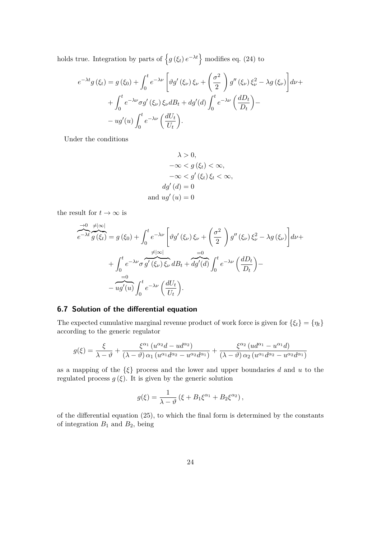holds true. Integration by parts of  $\{g(\xi_t) e^{-\lambda t}\}\$  modifies eq. (24) to

$$
e^{-\lambda t}g(\xi_t) = g(\xi_0) + \int_0^t e^{-\lambda \nu} \left[ \vartheta g'(\xi_\nu) \xi_\nu + \left( \frac{\sigma^2}{2} \right) g''(\xi_\nu) \xi_\nu^2 - \lambda g(\xi_\nu) \right] d\nu +
$$
  
+ 
$$
\int_0^t e^{-\lambda \nu} \sigma g'(\xi_\nu) \xi_\nu dB_t + dg'(d) \int_0^t e^{-\lambda \nu} \left( \frac{dD_t}{D_t} \right) -
$$
  
- 
$$
ug'(u) \int_0^t e^{-\lambda \nu} \left( \frac{dU_t}{U_t} \right).
$$

Under the conditions

$$
\lambda > 0,
$$
  
\n
$$
-\infty < g(\xi_t) < \infty,
$$
  
\n
$$
-\infty < g'(\xi_t) \xi_t < \infty,
$$
  
\n
$$
dg'(d) = 0
$$
  
\nand 
$$
ug'(u) = 0
$$

the result for  $t \to \infty$  is

$$
\overrightarrow{e^{-\lambda t}} \overrightarrow{g(\xi_t)} = g(\xi_0) + \int_0^t e^{-\lambda \nu} \left[ \vartheta g'(\xi_\nu) \xi_\nu + \left( \frac{\sigma^2}{2} \right) g''(\xi_\nu) \xi_\nu^2 - \lambda g(\xi_\nu) \right] d\nu +
$$
\n
$$
+ \int_0^t e^{-\lambda \nu} \overrightarrow{g'(\xi_\nu)} \overrightarrow{\xi_\nu} dB_t + \overrightarrow{dg'(d)} \int_0^t e^{-\lambda \nu} \left( \frac{dD_t}{D_t} \right) -
$$
\n
$$
- \overrightarrow{ug'(u)} \int_0^t e^{-\lambda \nu} \left( \frac{dU_t}{U_t} \right).
$$

### **6.7 Solution of the differential equation**

The expected cumulative marginal revenue product of work force is given for  $\{\xi_t\} = \{\eta_t\}$ according to the generic regulator

$$
g(\xi) = \frac{\xi}{\lambda - \vartheta} + \frac{\xi^{\alpha_1} (u^{\alpha_2} d - u d^{\alpha_2})}{(\lambda - \vartheta) \alpha_1 (u^{\alpha_1} d^{\alpha_2} - u^{\alpha_2} d^{\alpha_1})} + \frac{\xi^{\alpha_2} (ud^{\alpha_1} - u^{\alpha_1} d)}{(\lambda - \vartheta) \alpha_2 (u^{\alpha_1} d^{\alpha_2} - u^{\alpha_2} d^{\alpha_1})}
$$

as a mapping of the {*ξ*} process and the lower and upper boundaries *d* and *u* to the regulated process  $g(\xi)$ . It is given by the generic solution

$$
g(\xi) = \frac{1}{\lambda - \vartheta} \left( \xi + B_1 \xi^{\alpha_1} + B_2 \xi^{\alpha_2} \right),
$$

of the differential equation (25), to which the final form is determined by the constants of integration  $B_1$  and  $B_2$ , being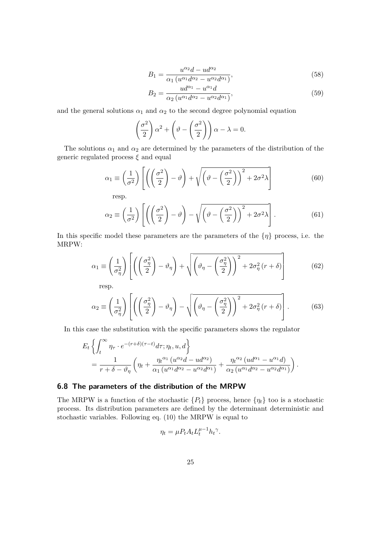$$
B_1 = \frac{u^{\alpha_2}d - ud^{\alpha_2}}{\alpha_1 \left(u^{\alpha_1}d^{\alpha_2} - u^{\alpha_2}d^{\alpha_1}\right)},\tag{58}
$$

$$
B_2 = \frac{ud^{\alpha_1} - u^{\alpha_1}d}{\alpha_2 \left(u^{\alpha_1}d^{\alpha_2} - u^{\alpha_2}d^{\alpha_1}\right)},\tag{59}
$$

and the general solutions  $\alpha_1$  and  $\alpha_2$  to the second degree polynomial equation

$$
\left(\frac{\sigma^2}{2}\right)\alpha^2 + \left(\vartheta - \left(\frac{\sigma^2}{2}\right)\right)\alpha - \lambda = 0.
$$

The solutions  $\alpha_1$  and  $\alpha_2$  are determined by the parameters of the distribution of the generic regulated process *ξ* and equal

$$
\alpha_1 \equiv \left(\frac{1}{\sigma^2}\right) \left[ \left( \left(\frac{\sigma^2}{2}\right) - \vartheta \right) + \sqrt{\left(\vartheta - \left(\frac{\sigma^2}{2}\right)\right)^2 + 2\sigma^2 \lambda} \right]
$$
(60)

resp.

$$
\alpha_2 \equiv \left(\frac{1}{\sigma^2}\right) \left[ \left( \left(\frac{\sigma^2}{2}\right) - \vartheta \right) - \sqrt{\left(\vartheta - \left(\frac{\sigma^2}{2}\right)\right)^2 + 2\sigma^2 \lambda} \right]. \tag{61}
$$

In this specific model these parameters are the parameters of the {*η*} process, i.e. the MRPW:

$$
\alpha_1 \equiv \left(\frac{1}{\sigma_\eta^2}\right) \left[ \left( \left(\frac{\sigma_\eta^2}{2}\right) - \vartheta_\eta \right) + \sqrt{\left( \vartheta_\eta - \left(\frac{\sigma_\eta^2}{2}\right) \right)^2 + 2\sigma_\eta^2 \left( r + \delta \right)} \right]
$$
(62)

resp.

$$
\alpha_2 \equiv \left(\frac{1}{\sigma_\eta^2}\right) \left[ \left( \left(\frac{\sigma_\eta^2}{2}\right) - \vartheta_\eta \right) - \sqrt{\left( \vartheta_\eta - \left(\frac{\sigma_\eta^2}{2}\right) \right)^2 + 2\sigma_\eta^2 \left( r + \delta \right)} \right].
$$
 (63)

In this case the substitution with the specific parameters shows the regulator

$$
E_t \left\{ \int_t^{\infty} \eta_{\tau} \cdot e^{-(r+\delta)(\tau-t)} d\tau; \eta_t, u, d \right\}
$$
  
= 
$$
\frac{1}{r+\delta-\vartheta_{\eta}} \left( \eta_t + \frac{\eta_t^{\alpha_1} (u^{\alpha_2}d - ud^{\alpha_2})}{\alpha_1 (u^{\alpha_1}d^{\alpha_2} - u^{\alpha_2}d^{\alpha_1})} + \frac{\eta_t^{\alpha_2} (ud^{\alpha_1} - u^{\alpha_1}d)}{\alpha_2 (u^{\alpha_1}d^{\alpha_2} - u^{\alpha_2}d^{\alpha_1})} \right).
$$

### **6.8 The parameters of the distribution of the MRPW**

The MRPW is a function of the stochastic  ${P_t}$  process, hence  ${\eta_t}$  too is a stochastic process. Its distribution parameters are defined by the determinant deterministic and stochastic variables. Following eq. (10) the MRPW is equal to

$$
\eta_t = \mu P_t A_t L_t^{\mu - 1} h_t^{\gamma}.
$$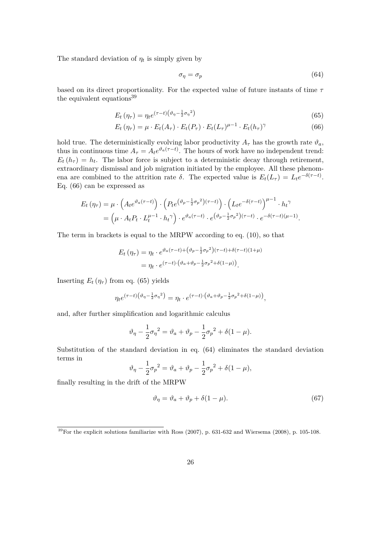The standard deviation of  $\eta_t$  is simply given by

$$
\sigma_{\eta} = \sigma_p \tag{64}
$$

based on its direct proportionality. For the expected value of future instants of time *τ* the equivalent equations<sup>39</sup>

$$
E_t\left(\eta_\tau\right) = \eta_t e^{(\tau - t)\left(\vartheta_\eta - \frac{1}{2}\sigma_\eta{}^2\right)}\tag{65}
$$

$$
E_t(\eta_\tau) = \mu \cdot E_t(A_\tau) \cdot E_t(P_\tau) \cdot E_t(L_\tau)^{\mu - 1} \cdot E_t(h_\tau)^\gamma \tag{66}
$$

hold true. The deterministically evolving labor productivity  $A_{\tau}$  has the growth rate  $\vartheta_a$ , thus in continuous time  $A_{\tau} = A_t e^{\vartheta_a(\tau - t)}$ . The hours of work have no independent trend:  $E_t(h_\tau) = h_t$ . The labor force is subject to a deterministic decay through retirement, extraordinary dismissal and job migration initiated by the employee. All these phenomena are combined to the attrition rate  $\delta$ . The expected value is  $E_t(L_{\tau}) = L_t e^{-\delta(\tau - t)}$ . Eq. (66) can be expressed as

$$
E_t(\eta_\tau) = \mu \cdot \left( A_t e^{\vartheta_a (\tau - t)} \right) \cdot \left( P_t e^{(\vartheta_p - \frac{1}{2}\sigma_p^2)(\tau - t)} \right) \cdot \left( L_t e^{-\delta(\tau - t)} \right)^{\mu - 1} \cdot h_t^{\gamma}
$$
  
= 
$$
\left( \mu \cdot A_t P_t \cdot L_t^{\mu - 1} \cdot h_t^{\gamma} \right) \cdot e^{\vartheta_a (\tau - t)} \cdot e^{(\vartheta_p - \frac{1}{2}\sigma_p^2)(\tau - t)} \cdot e^{-\delta(\tau - t)(\mu - 1)}.
$$

The term in brackets is equal to the MRPW according to eq. (10), so that

$$
E_t(\eta_\tau) = \eta_t \cdot e^{\vartheta_a(\tau - t) + (\vartheta_p - \frac{1}{2}\sigma_p^2)(\tau - t) + \delta(\tau - t)(1 + \mu)}
$$
  
= 
$$
\eta_t \cdot e^{(\tau - t) \cdot (\vartheta_a + \vartheta_p - \frac{1}{2}\sigma_p^2 + \delta(1 - \mu))}.
$$

Inserting  $E_t(\eta_\tau)$  from eq. (65) yields

$$
\eta_t e^{(\tau-t)\left(\vartheta_\eta - \frac{1}{2}\sigma_\eta{}^2\right)} = \eta_t \cdot e^{(\tau-t)\cdot\left(\vartheta_a + \vartheta_p - \frac{1}{2}\sigma_p{}^2 + \delta(1-\mu)\right)},
$$

and, after further simplification and logarithmic calculus

$$
\vartheta_{\eta} - \frac{1}{2}\sigma_{\eta}^{2} = \vartheta_{a} + \vartheta_{p} - \frac{1}{2}\sigma_{p}^{2} + \delta(1 - \mu).
$$

Substitution of the standard deviation in eq. (64) eliminates the standard deviation terms in

$$
\vartheta_{\eta} - \frac{1}{2}\sigma_p{}^2 = \vartheta_a + \vartheta_p - \frac{1}{2}\sigma_p{}^2 + \delta(1 - \mu),
$$

finally resulting in the drift of the MRPW

$$
\vartheta_{\eta} = \vartheta_a + \vartheta_p + \delta(1 - \mu). \tag{67}
$$

<sup>&</sup>lt;sup>39</sup>For the explicit solutions familiarize with Ross (2007), p. 631-632 and Wiersema (2008), p. 105-108.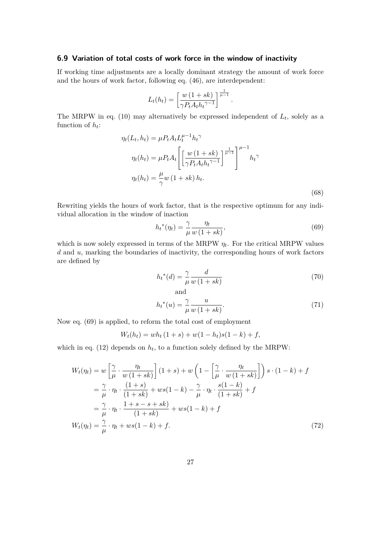### **6.9 Variation of total costs of work force in the window of inactivity**

If working time adjustments are a locally dominant strategy the amount of work force and the hours of work factor, following eq. (46), are interdependent:

$$
L_t(h_t) = \left[\frac{w(1+sk)}{\gamma P_t A_t h_t^{\gamma-1}}\right]^{\frac{1}{\mu-1}}.
$$

The MRPW in eq. (10) may alternatively be expressed independent of  $L_t$ , solely as a function of *h<sup>t</sup>* :

$$
\eta_t(L_t, h_t) = \mu P_t A_t L_t^{\mu-1} h_t^{\gamma}
$$
  

$$
\eta_t(h_t) = \mu P_t A_t \left[ \left[ \frac{w (1 + sk)}{\gamma P_t A_t h_t^{\gamma - 1}} \right]^{\mu-1} h_t^{\gamma}
$$
  

$$
\eta_t(h_t) = \frac{\mu}{\gamma} w (1 + sk) h_t.
$$
  
(68)

Rewriting yields the hours of work factor, that is the respective optimum for any individual allocation in the window of inaction

$$
h_t^*(\eta_t) = \frac{\gamma}{\mu} \frac{\eta_t}{w(1+sk)},\tag{69}
$$

which is now solely expressed in terms of the MRPW  $\eta_t$ . For the critical MRPW values *d* and *u*, marking the boundaries of inactivity, the corresponding hours of work factors are defined by

$$
h_t^*(d) = \frac{\gamma}{\mu} \frac{d}{w(1+sk)}\tag{70}
$$

$$
h_t^*(u) = \frac{\gamma}{\mu} \frac{u}{w(1+sk)}.\tag{71}
$$

Now eq. (69) is applied, to reform the total cost of employment

$$
W_t(h_t) = wh_t(1+s) + w(1-h_t)s(1-k) + f,
$$

which in eq.  $(12)$  depends on  $h_t$ , to a function solely defined by the MRPW:

$$
W_t(\eta_t) = w \left[ \frac{\gamma}{\mu} \cdot \frac{\eta_t}{w(1+sk)} \right] (1+s) + w \left( 1 - \left[ \frac{\gamma}{\mu} \cdot \frac{\eta_t}{w(1+sk)} \right] \right) s \cdot (1-k) + f
$$
  
\n
$$
= \frac{\gamma}{\mu} \cdot \eta_t \cdot \frac{(1+s)}{(1+sk)} + ws(1-k) - \frac{\gamma}{\mu} \cdot \eta_t \cdot \frac{s(1-k)}{(1+sk)} + f
$$
  
\n
$$
= \frac{\gamma}{\mu} \cdot \eta_t \cdot \frac{1+s-s+sk}{(1+sk)} + ws(1-k) + f
$$
  
\n
$$
W_t(\eta_t) = \frac{\gamma}{\mu} \cdot \eta_t + ws(1-k) + f.
$$
\n(72)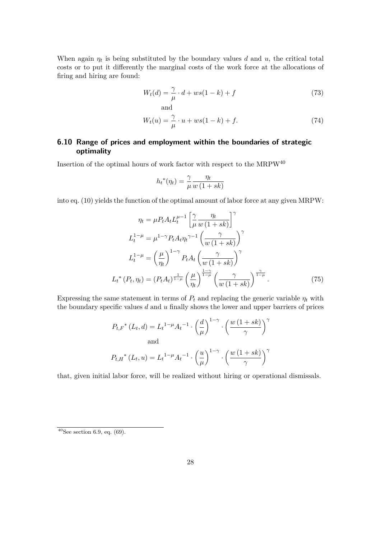When again  $\eta_t$  is being substituted by the boundary values *d* and *u*, the critical total costs or to put it differently the marginal costs of the work force at the allocations of firing and hiring are found:

$$
W_t(d) = \frac{\gamma}{\mu} \cdot d + ws(1 - k) + f \tag{73}
$$

and

$$
W_t(u) = \frac{\gamma}{\mu} \cdot u + ws(1 - k) + f. \tag{74}
$$

# **6.10 Range of prices and employment within the boundaries of strategic optimality**

Insertion of the optimal hours of work factor with respect to the  $\rm MRPW^{40}$ 

$$
h_t^*(\eta_t) = \frac{\gamma}{\mu} \frac{\eta_t}{w(1+sk)}
$$

into eq. (10) yields the function of the optimal amount of labor force at any given MRPW:

$$
\eta_t = \mu P_t A_t L_t^{\mu-1} \left[ \frac{\gamma}{\mu} \frac{\eta_t}{w (1 + sk)} \right]^\gamma
$$
  
\n
$$
L_t^{1-\mu} = \mu^{1-\gamma} P_t A_t \eta_t^{\gamma-1} \left( \frac{\gamma}{w (1 + sk)} \right)^\gamma
$$
  
\n
$$
L_t^{1-\mu} = \left( \frac{\mu}{\eta_t} \right)^{1-\gamma} P_t A_t \left( \frac{\gamma}{w (1 + sk)} \right)^\gamma
$$
  
\n
$$
L_t^* (P_t, \eta_t) = (P_t A_t)^{\frac{1}{1-\mu}} \left( \frac{\mu}{\eta_t} \right)^{\frac{1-\gamma}{1-\mu}} \left( \frac{\gamma}{w (1 + sk)} \right)^{\frac{\gamma}{1-\mu}}.
$$
\n(75)

Expressing the same statement in terms of  $P_t$  and replacing the generic variable  $\eta_t$  with the boundary specific values *d* and *u* finally shows the lower and upper barriers of prices

$$
P_{t,F}^{*}(L_{t}, d) = L_{t}^{1-\mu} A_{t}^{-1} \cdot \left(\frac{d}{\mu}\right)^{1-\gamma} \cdot \left(\frac{w(1+sk)}{\gamma}\right)^{\gamma}
$$
  
and  

$$
P_{t,H}^{*}(L_{t}, u) = L_{t}^{1-\mu} A_{t}^{-1} \cdot \left(\frac{u}{\mu}\right)^{1-\gamma} \cdot \left(\frac{w(1+sk)}{\gamma}\right)^{\gamma}
$$

that, given initial labor force, will be realized without hiring or operational dismissals.

 $40$ See section 6.9, eq. (69).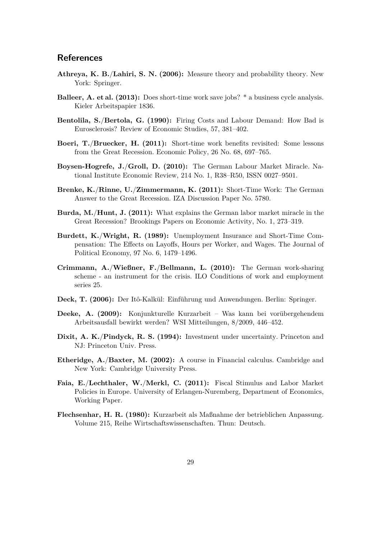## **References**

- **Athreya, K. B.**/**Lahiri, S. N. (2006):** Measure theory and probability theory. New York: Springer.
- **Balleer, A. et al. (2013):** Does short-time work save jobs? \* a business cycle analysis. Kieler Arbeitspapier 1836.
- **Bentolila, S.**/**Bertola, G. (1990):** Firing Costs and Labour Demand: How Bad is Eurosclerosis? Review of Economic Studies, 57, 381–402.
- **Boeri, T.**/**Bruecker, H. (2011):** Short-time work benefits revisited: Some lessons from the Great Recession. Economic Policy, 26 No. 68, 697–765.
- **Boysen-Hogrefe, J.**/**Groll, D. (2010):** The German Labour Market Miracle. National Institute Economic Review, 214 No. 1, R38–R50, ISSN 0027–9501.
- **Brenke, K.**/**Rinne, U.**/**Zimmermann, K. (2011):** Short-Time Work: The German Answer to the Great Recession. IZA Discussion Paper No. 5780.
- **Burda, M.**/**Hunt, J. (2011):** What explains the German labor market miracle in the Great Recession? Brookings Papers on Economic Activity, No. 1, 273–319.
- **Burdett, K.**/**Wright, R. (1989):** Unemployment Insurance and Short-Time Compensation: The Effects on Layoffs, Hours per Worker, and Wages. The Journal of Political Economy, 97 No. 6, 1479–1496.
- **Crimmann, A.**/**Wießner, F.**/**Bellmann, L. (2010):** The German work-sharing scheme - an instrument for the crisis. ILO Conditions of work and employment series 25.
- **Deck, T. (2006):** Der Itô-Kalkül: Einführung und Anwendungen. Berlin: Springer.
- **Deeke, A. (2009):** Konjunkturelle Kurzarbeit Was kann bei vorübergehendem Arbeitsausfall bewirkt werden? WSI Mitteilungen, 8/2009, 446–452.
- **Dixit, A. K.**/**Pindyck, R. S. (1994):** Investment under uncertainty. Princeton and NJ: Princeton Univ. Press.
- **Etheridge, A.**/**Baxter, M. (2002):** A course in Financial calculus. Cambridge and New York: Cambridge University Press.
- **Faia, E.**/**Lechthaler, W.**/**Merkl, C. (2011):** Fiscal Stimulus and Labor Market Policies in Europe. University of Erlangen-Nuremberg, Department of Economics, Working Paper.
- **Flechsenhar, H. R. (1980):** Kurzarbeit als Maßnahme der betrieblichen Anpassung. Volume 215, Reihe Wirtschaftswissenschaften. Thun: Deutsch.